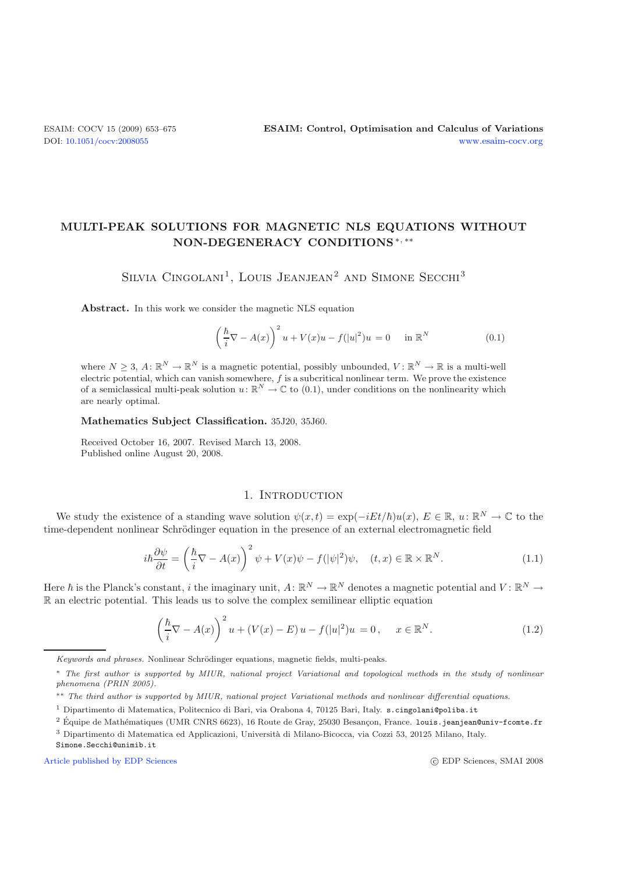# **MULTI-PEAK SOLUTIONS FOR MAGNETIC NLS EQUATIONS WITHOUT NON-DEGENERACY CONDITIONS**∗*,* ∗∗

SILVIA CINGOLANI<sup>1</sup>, LOUIS JEANJEAN<sup>2</sup> AND SIMONE SECCHI<sup>3</sup>

**Abstract.** In this work we consider the magnetic NLS equation

$$
\left(\frac{\hbar}{i}\nabla - A(x)\right)^2 u + V(x)u - f(|u|^2)u = 0 \quad \text{in } \mathbb{R}^N
$$
\n(0.1)

where  $N > 3$ ,  $A: \mathbb{R}^N \to \mathbb{R}^N$  is a magnetic potential, possibly unbounded,  $V: \mathbb{R}^N \to \mathbb{R}$  is a multi-well electric potential, which can vanish somewhere, *f* is a subcritical nonlinear term. We prove the existence of a semiclassical multi-peak solution  $u: \mathbb{R}^N \to \mathbb{C}$  to (0.1), under conditions on the nonlinearity which are nearly optimal.

<span id="page-0-1"></span>**Mathematics Subject Classification.** 35J20, 35J60.

<span id="page-0-0"></span>Received October 16, 2007. Revised March 13, 2008. Published online August 20, 2008.

### 1. Introduction

We study the existence of a standing wave solution  $\psi(x,t) = \exp(-iEt/\hbar)u(x)$ ,  $E \in \mathbb{R}$ ,  $u: \mathbb{R}^N \to \mathbb{C}$  to the time-dependent nonlinear Schrödinger equation in the presence of an external electromagnetic field

$$
i\hbar \frac{\partial \psi}{\partial t} = \left(\frac{\hbar}{i}\nabla - A(x)\right)^2 \psi + V(x)\psi - f(|\psi|^2)\psi, \quad (t, x) \in \mathbb{R} \times \mathbb{R}^N. \tag{1.1}
$$

Here  $\hbar$  is the Planck's constant, i the imaginary unit,  $A: \mathbb{R}^N \to \mathbb{R}^N$  denotes a magnetic potential and  $V: \mathbb{R}^N \to$ R an electric potential. This leads us to solve the complex semilinear elliptic equation

$$
\left(\frac{\hbar}{i}\nabla - A(x)\right)^2 u + (V(x) - E) u - f(|u|^2)u = 0, \quad x \in \mathbb{R}^N.
$$
\n(1.2)

[Article published by EDP Sciences](http://www.edpsciences.org) c EDP Sciences c EDP Sciences, SMAI 2008

Keywords and phrases. Nonlinear Schrödinger equations, magnetic fields, multi-peaks.

<sup>∗</sup> The first author is supported by MIUR, national project Variational and topological methods in the study of nonlinear phenomena (PRIN 2005).

<sup>∗∗</sup> The third author is supported by MIUR, national project Variational methods and nonlinear differential equations.

<sup>1</sup> Dipartimento di Matematica, Politecnico di Bari, via Orabona 4, 70125 Bari, Italy. s.cingolani@poliba.it

 $2$  Équipe de Mathématiques (UMR CNRS 6623), 16 Route de Gray, 25030 Besançon, France. louis.jeanjean@univ-fcomte.fr

<sup>&</sup>lt;sup>3</sup> Dipartimento di Matematica ed Applicazioni, Università di Milano-Bicocca, via Cozzi 53, 20125 Milano, Italy.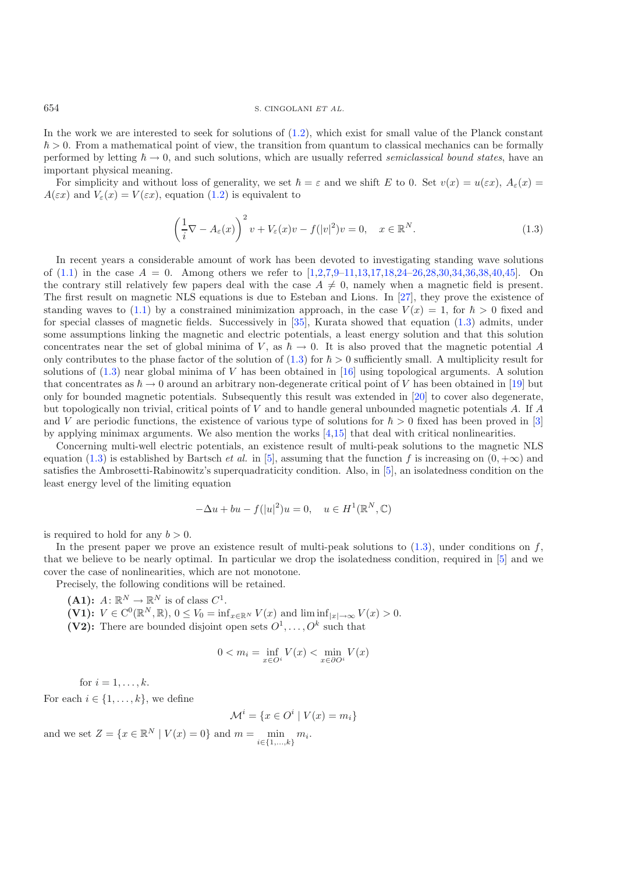In the work we are interested to seek for solutions of  $(1.2)$ , which exist for small value of the Planck constant  $\hbar > 0$ . From a mathematical point of view, the transition from quantum to classical mechanics can be formally performed by letting  $\hbar \to 0$ , and such solutions, which are usually referred *semiclassical bound states*, have an important physical meaning.

For simplicity and without loss of generality, we set  $\hbar = \varepsilon$  and we shift E to 0. Set  $v(x) = u(\varepsilon x)$ ,  $A_{\varepsilon}(x) =$  $A(\varepsilon x)$  and  $V_{\varepsilon}(x) = V(\varepsilon x)$ , equation [\(1.2\)](#page-0-0) is equivalent to

$$
\left(\frac{1}{i}\nabla - A_{\varepsilon}(x)\right)^2 v + V_{\varepsilon}(x)v - f(|v|^2)v = 0, \quad x \in \mathbb{R}^N.
$$
\n(1.3)

In recent years a considerable amount of work has been devoted to investigating standing wave solutions of  $(1.1)$  in the case  $A = 0$ . Among others we refer to  $[1,2,7,9-11,13,17,18,24-26,28,30,34,36,38,40,45]$  $[1,2,7,9-11,13,17,18,24-26,28,30,34,36,38,40,45]$  $[1,2,7,9-11,13,17,18,24-26,28,30,34,36,38,40,45]$  $[1,2,7,9-11,13,17,18,24-26,28,30,34,36,38,40,45]$  $[1,2,7,9-11,13,17,18,24-26,28,30,34,36,38,40,45]$  $[1,2,7,9-11,13,17,18,24-26,28,30,34,36,38,40,45]$  $[1,2,7,9-11,13,17,18,24-26,28,30,34,36,38,40,45]$  $[1,2,7,9-11,13,17,18,24-26,28,30,34,36,38,40,45]$  $[1,2,7,9-11,13,17,18,24-26,28,30,34,36,38,40,45]$  $[1,2,7,9-11,13,17,18,24-26,28,30,34,36,38,40,45]$  $[1,2,7,9-11,13,17,18,24-26,28,30,34,36,38,40,45]$  $[1,2,7,9-11,13,17,18,24-26,28,30,34,36,38,40,45]$  $[1,2,7,9-11,13,17,18,24-26,28,30,34,36,38,40,45]$  $[1,2,7,9-11,13,17,18,24-26,28,30,34,36,38,40,45]$  $[1,2,7,9-11,13,17,18,24-26,28,30,34,36,38,40,45]$  $[1,2,7,9-11,13,17,18,24-26,28,30,34,36,38,40,45]$  $[1,2,7,9-11,13,17,18,24-26,28,30,34,36,38,40,45]$ . On the contrary still relatively few papers deal with the case  $A \neq 0$ , namely when a magnetic field is present. The first result on magnetic NLS equations is due to Esteban and Lions. In [\[27\]](#page-22-9), they prove the existence of standing waves to [\(1.1\)](#page-0-1) by a constrained minimization approach, in the case  $V(x) = 1$ , for  $\hbar > 0$  fixed and for special classes of magnetic fields. Successively in [\[35\]](#page-22-10), Kurata showed that equation [\(1.3\)](#page-1-0) admits, under some assumptions linking the magnetic and electric potentials, a least energy solution and that this solution concentrates near the set of global minima of V, as  $\hbar \to 0$ . It is also proved that the magnetic potential A only contributes to the phase factor of the solution of  $(1.3)$  for  $\hbar > 0$  sufficiently small. A multiplicity result for solutions of  $(1.3)$  near global minima of V has been obtained in [\[16\]](#page-21-8) using topological arguments. A solution that concentrates as  $\hbar \to 0$  around an arbitrary non-degenerate critical point of V has been obtained in [\[19\]](#page-22-11) but only for bounded magnetic potentials. Subsequently this result was extended in [\[20\]](#page-22-12) to cover also degenerate, but topologically non trivial, critical points of V and to handle general unbounded magnetic potentials A. If A and V are periodic functions, the existence of various type of solutions for  $\hbar > 0$  fixed has been proved in [\[3](#page-21-9)] by applying minimax arguments. We also mention the works [\[4](#page-21-10)[,15\]](#page-21-11) that deal with critical nonlinearities.

Concerning multi-well electric potentials, an existence result of multi-peak solutions to the magnetic NLS equation [\(1.3\)](#page-1-0) is established by Bartsch *et al.* in [\[5](#page-21-12)], assuming that the function f is increasing on  $(0, +\infty)$  and satisfies the Ambrosetti-Rabinowitz's superquadraticity condition. Also, in [\[5](#page-21-12)], an isolatedness condition on the least energy level of the limiting equation

$$
-\Delta u + bu - f(|u|^2)u = 0, \quad u \in H^1(\mathbb{R}^N, \mathbb{C})
$$

is required to hold for any  $b > 0$ .

In the present paper we prove an existence result of multi-peak solutions to  $(1.3)$ , under conditions on f, that we believe to be nearly optimal. In particular we drop the isolatedness condition, required in [\[5\]](#page-21-12) and we cover the case of nonlinearities, which are not monotone.

Precisely, the following conditions will be retained.

- $(A1):$   $A: \mathbb{R}^N \to \mathbb{R}^N$  is of class  $C^1$ .
- $(V1):$   $V \in C^{0}(\mathbb{R}^{N}, \mathbb{R}),$   $0 \leq V_{0} = \inf_{x \in \mathbb{R}^{N}} V(x)$  and  $\liminf_{|x| \to \infty} V(x) > 0$ .
- **(V2):** There are bounded disjoint open sets  $O^1, \ldots, O^k$  such that

$$
0 < m_i = \inf_{x \in O^i} V(x) < \min_{x \in \partial O^i} V(x)
$$

for  $i = 1, \ldots, k$ .

For each  $i \in \{1, \ldots, k\}$ , we define

$$
\mathcal{M}^i = \{ x \in O^i \mid V(x) = m_i \}
$$

and we set  $Z = \{x \in \mathbb{R}^N \mid V(x) = 0\}$  and  $m = \min_{i \in \{1, ..., k\}} m_i$ .

<span id="page-1-0"></span>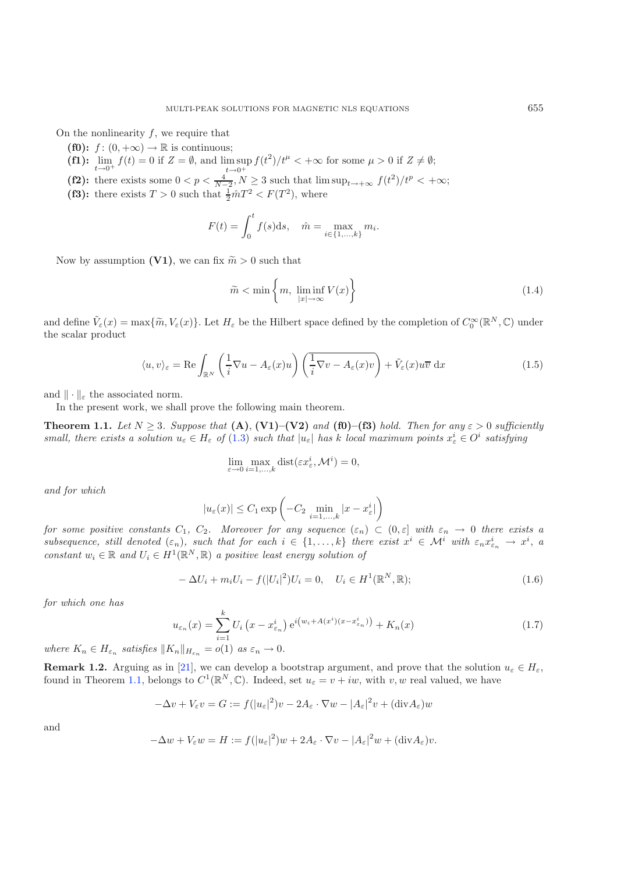On the nonlinearity  $f$ , we require that

- **(f0):**  $f : (0, +\infty) \to \mathbb{R}$  is continuous;
- **(f1):**  $\lim_{t \to 0^+} f(t) = 0$  if  $Z = \emptyset$ , and  $\limsup_{t \to 0^+} f(t^2)/t^{\mu} < +\infty$  for some  $\mu > 0$  if  $Z \neq \emptyset$ ;
- (f2): there exists some  $0 < p < \frac{4}{N-2}$ ,  $N \ge 3$  such that  $\limsup_{t \to +\infty} f(t^2)/t^p < +\infty$ ;
- (f3): there exists  $T > 0$  such that  $\frac{1}{2} \hat{m} T^2 < F(T^2)$ , where

$$
F(t) = \int_0^t f(s)ds, \quad \hat{m} = \max_{i \in \{1, ..., k\}} m_i.
$$

Now by assumption **(V1)**, we can fix  $\widetilde{m} > 0$  such that

$$
\widetilde{m} < \min\left\{m, \; \liminf_{|x| \to \infty} V(x)\right\} \tag{1.4}
$$

and define  $\tilde{V}_{\varepsilon}(x) = \max{\{\tilde{m}, V_{\varepsilon}(x)\}}$ . Let  $H_{\varepsilon}$  be the Hilbert space defined by the completion of  $C_0^{\infty}(\mathbb{R}^N, \mathbb{C})$  under the scalar product

$$
\langle u, v \rangle_{\varepsilon} = \text{Re} \int_{\mathbb{R}^N} \left( \frac{1}{i} \nabla u - A_{\varepsilon}(x) u \right) \left( \frac{1}{i} \nabla v - A_{\varepsilon}(x) v \right) + \tilde{V}_{\varepsilon}(x) u \overline{v} \, dx \tag{1.5}
$$

<span id="page-2-0"></span>and  $\|\cdot\|_{\varepsilon}$  the associated norm.

<span id="page-2-1"></span>In the present work, we shall prove the following main theorem.

**Theorem 1.1.** Let  $N \geq 3$ . Suppose that  $(A)$ ,  $(V1)$ – $(V2)$  and  $(f0)$ – $(f3)$  hold. Then for any  $\varepsilon > 0$  sufficiently *small, there exists a solution*  $u_{\varepsilon} \in H_{\varepsilon}$  of [\(1.3\)](#page-1-0) *such that*  $|u_{\varepsilon}|$  *has* k *local maximum points*  $x_{\varepsilon}^i \in O^i$  *satisfying* 

$$
\lim_{\varepsilon \to 0} \max_{i=1,\dots,k} \text{dist}(\varepsilon x_{\varepsilon}^i, \mathcal{M}^i) = 0,
$$

<span id="page-2-2"></span>*and for which*

$$
|u_{\varepsilon}(x)| \leq C_1 \exp\left(-C_2 \min_{i=1,\ldots,k} |x - x_{\varepsilon}^i|\right)
$$

*for some positive constants*  $C_1$ ,  $C_2$ *. Moreover for any sequence*  $(\varepsilon_n) \subset (0,\varepsilon]$  *with*  $\varepsilon_n \to 0$  *there exists a*  $subsequence,$  still denoted  $(\varepsilon_n)$ , such that for each  $i \in \{1, \ldots, k\}$  there exist  $x^i \in \mathcal{M}^i$  with  $\varepsilon_n x_{\varepsilon_n}^i \to x^i$ , a *constant*  $w_i \in \mathbb{R}$  *and*  $U_i \in H^1(\mathbb{R}^N, \mathbb{R})$  *a positive least energy solution of* 

$$
-\Delta U_i + m_i U_i - f(|U_i|^2)U_i = 0, \quad U_i \in H^1(\mathbb{R}^N, \mathbb{R});
$$
\n(1.6)

*for which one has*

$$
u_{\varepsilon_n}(x) = \sum_{i=1}^k U_i \left( x - x_{\varepsilon_n}^i \right) e^{i \left( w_i + A(x^i)(x - x_{\varepsilon_n}^i) \right)} + K_n(x) \tag{1.7}
$$

where  $K_n \in H_{\varepsilon_n}$  *satisfies*  $||K_n||_{H_{\varepsilon_n}} = o(1)$  *as*  $\varepsilon_n \to 0$ *.* 

<span id="page-2-3"></span>**Remark 1.2.** Arguing as in [\[21\]](#page-22-13), we can develop a bootstrap argument, and prove that the solution  $u_{\varepsilon} \in H_{\varepsilon}$ , found in Theorem [1.1,](#page-2-0) belongs to  $C^1(\mathbb{R}^N,\mathbb{C})$ . Indeed, set  $u_{\varepsilon} = v + iw$ , with v, w real valued, we have

$$
-\Delta v + V_{\varepsilon}v = G := f(|u_{\varepsilon}|^2)v - 2A_{\varepsilon} \cdot \nabla w - |A_{\varepsilon}|^2v + (\text{div}A_{\varepsilon})w
$$

and

$$
-\Delta w + V_{\varepsilon} w = H := f(|u_{\varepsilon}|^2)w + 2A_{\varepsilon} \cdot \nabla v - |A_{\varepsilon}|^2 w + (\text{div} A_{\varepsilon})v.
$$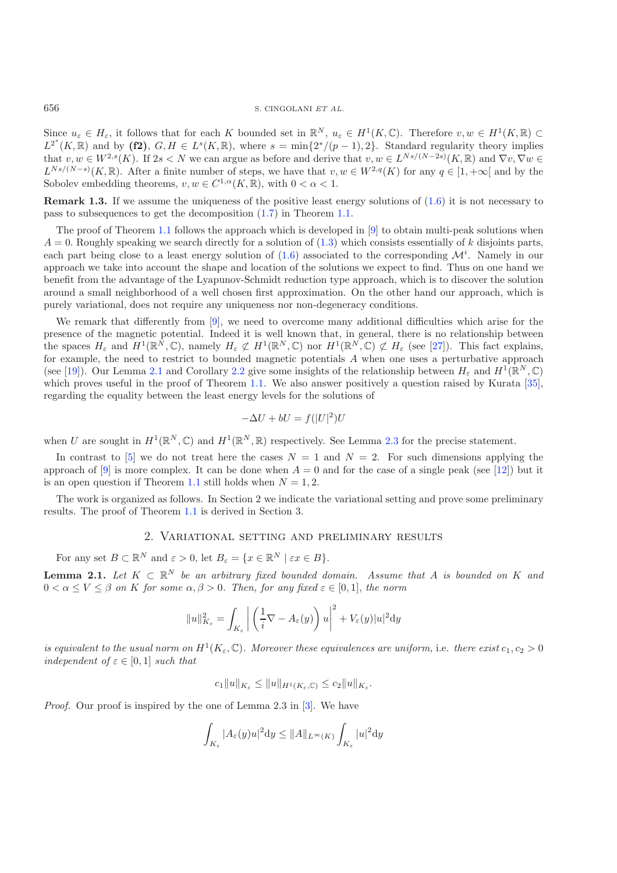Since  $u_{\varepsilon} \in H_{\varepsilon}$ , it follows that for each K bounded set in  $\mathbb{R}^N$ ,  $u_{\varepsilon} \in H^1(K,\mathbb{C})$ . Therefore  $v, w \in H^1(K,\mathbb{R}) \subset$  $L^{2^*}(K,\mathbb{R})$  and by **(f2)**,  $G, H \in L^s(K,\mathbb{R})$ , where  $s = \min\{2^*/(p-1),2\}$ . Standard regularity theory implies that  $v, w \in W^{2,s}(K)$ . If  $2s < N$  we can argue as before and derive that  $v, w \in L^{Ns/(N-2s)}(K, \mathbb{R})$  and  $\nabla v, \nabla w \in L^{N}(K)$  $L^{Ns/(N-s)}(K,\mathbb{R})$ . After a finite number of steps, we have that  $v, w \in W^{2,q}(K)$  for any  $q \in [1, +\infty[$  and by the Sobolev embedding theorems,  $v, w \in C^{1,\alpha}(K, \mathbb{R})$ , with  $0 < \alpha < 1$ .

<span id="page-3-0"></span>**Remark 1.3.** If we assume the uniqueness of the positive least energy solutions of  $(1.6)$  it is not necessary to pass to subsequences to get the decomposition [\(1.7\)](#page-2-2) in Theorem [1.1.](#page-2-0)

The proof of Theorem [1.1](#page-2-0) follows the approach which is developed in  $[9]$  $[9]$  to obtain multi-peak solutions when  $A = 0$ . Roughly speaking we search directly for a solution of  $(1.3)$  which consists essentially of k disjoints parts, each part being close to a least energy solution of  $(1.6)$  associated to the corresponding  $\mathcal{M}^i$ . Namely in our approach we take into account the shape and location of the solutions we expect to find. Thus on one hand we benefit from the advantage of the Lyapunov-Schmidt reduction type approach, which is to discover the solution around a small neighborhood of a well chosen first approximation. On the other hand our approach, which is purely variational, does not require any uniqueness nor non-degeneracy conditions.

We remark that differently from [\[9\]](#page-21-3), we need to overcome many additional difficulties which arise for the presence of the magnetic potential. Indeed it is well known that, in general, there is no relationship between the spaces  $H_{\varepsilon}$  and  $H^1(\mathbb{R}^N,\mathbb{C})$ , namely  $H_{\varepsilon} \not\subset H^1(\mathbb{R}^N,\mathbb{C})$  nor  $H^1(\mathbb{R}^N,\mathbb{C}) \not\subset H_{\varepsilon}$  (see [\[27\]](#page-22-9)). This fact explains, for example, the need to restrict to bounded magnetic potentials A when one uses a perturbative approach (see [\[19\]](#page-22-11)). Our Lemma [2.1](#page-2-0) and Corollary [2.2](#page-2-3) give some insights of the relationship between  $H_{\varepsilon}$  and  $H^{1}(\mathbb{R}^{N}, \mathbb{C})$ which proves useful in the proof of Theorem [1.1.](#page-2-0) We also answer positively a question raised by Kurata [\[35\]](#page-22-10), regarding the equality between the least energy levels for the solutions of

$$
-\Delta U + bU = f(|U|^2)U
$$

when U are sought in  $H^1(\mathbb{R}^N,\mathbb{C})$  and  $H^1(\mathbb{R}^N,\mathbb{R})$  respectively. See Lemma [2.3](#page-3-0) for the precise statement.

In contrast to [\[5](#page-21-12)] we do not treat here the cases  $N = 1$  and  $N = 2$ . For such dimensions applying the approach of [\[9](#page-21-3)] is more complex. It can be done when  $A = 0$  and for the case of a single peak (see [\[12\]](#page-21-13)) but it is an open question if Theorem [1.1](#page-2-0) still holds when  $N = 1, 2$ .

The work is organized as follows. In Section 2 we indicate the variational setting and prove some preliminary results. The proof of Theorem [1.1](#page-2-0) is derived in Section 3.

## 2. Variational setting and preliminary results

For any set  $B \subset \mathbb{R}^N$  and  $\varepsilon > 0$ , let  $B_{\varepsilon} = \{x \in \mathbb{R}^N \mid \varepsilon x \in B\}.$ 

**Lemma 2.1.** *Let*  $K \subset \mathbb{R}^N$  *be an arbitrary fixed bounded domain. Assume that* A *is bounded on* K *and*  $0 < \alpha \le V \le \beta$  *on* K for some  $\alpha, \beta > 0$ . Then, for any fixed  $\varepsilon \in [0,1]$ , the norm

$$
||u||_{K_{\varepsilon}}^2 = \int_{K_{\varepsilon}} \left| \left( \frac{1}{i} \nabla - A_{\varepsilon}(y) \right) u \right|^2 + V_{\varepsilon}(y) |u|^2 \mathrm{d}y
$$

*is equivalent to the usual norm on*  $H^1(K_{\varepsilon}, \mathbb{C})$ *. Moreover these equivalences are uniform, i.e. there exist*  $c_1, c_2 > 0$ *independent of*  $\varepsilon \in [0, 1]$  *such that* 

$$
c_1||u||_{K_{\varepsilon}} \le ||u||_{H^1(K_{\varepsilon}, \mathbb{C})} \le c_2||u||_{K_{\varepsilon}}.
$$

*Proof.* Our proof is inspired by the one of Lemma 2.3 in [\[3](#page-21-9)]. We have

$$
\int_{K_\varepsilon} |A_\varepsilon(y)u|^2\mathrm{d} y\leq \|A\|_{L^\infty(K)}\int_{K_\varepsilon}|u|^2\mathrm{d} y
$$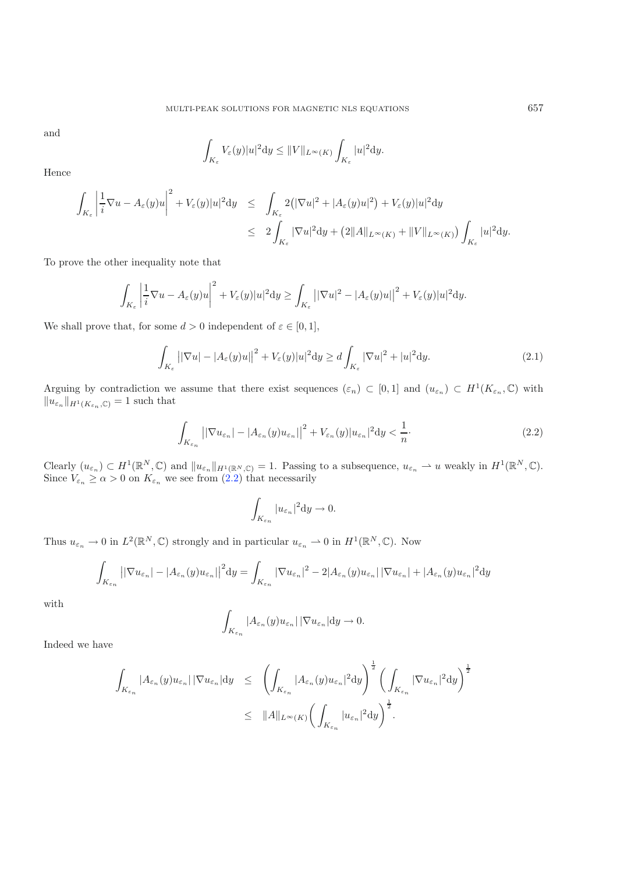and

$$
\int_{K_{\varepsilon}}V_{\varepsilon}(y)|u|^{2}\mathrm{d} y\leq \|V\|_{L^{\infty}(K)}\int_{K_{\varepsilon}}|u|^{2}\mathrm{d} y.
$$

Hence

$$
\int_{K_{\varepsilon}} \left| \frac{1}{i} \nabla u - A_{\varepsilon}(y) u \right|^2 + V_{\varepsilon}(y) |u|^2 \mathrm{d}y \leq \int_{K_{\varepsilon}} 2\big( |\nabla u|^2 + |A_{\varepsilon}(y) u|^2 \big) + V_{\varepsilon}(y) |u|^2 \mathrm{d}y
$$
\n
$$
\leq 2 \int_{K_{\varepsilon}} |\nabla u|^2 \mathrm{d}y + (2||A||_{L^{\infty}(K)} + ||V||_{L^{\infty}(K)}) \int_{K_{\varepsilon}} |u|^2 \mathrm{d}y.
$$

To prove the other inequality note that

<span id="page-4-0"></span>
$$
\int_{K_{\varepsilon}} \left| \frac{1}{i} \nabla u - A_{\varepsilon}(y) u \right|^2 + V_{\varepsilon}(y) |u|^2 \mathrm{d}y \ge \int_{K_{\varepsilon}} \left| |\nabla u|^2 - |A_{\varepsilon}(y) u| \right|^2 + V_{\varepsilon}(y) |u|^2 \mathrm{d}y.
$$

We shall prove that, for some  $d > 0$  independent of  $\varepsilon \in [0, 1]$ ,

$$
\int_{K_{\varepsilon}} \left| |\nabla u| - |A_{\varepsilon}(y)u| \right|^2 + V_{\varepsilon}(y)|u|^2 \, dy \ge d \int_{K_{\varepsilon}} |\nabla u|^2 + |u|^2 \, dy. \tag{2.1}
$$

Arguing by contradiction we assume that there exist sequences  $(\varepsilon_n) \subset [0,1]$  and  $(u_{\varepsilon_n}) \subset H^1(K_{\varepsilon_n},\mathbb{C})$  with  $||u_{\varepsilon_n}||_{H^1(K_{\varepsilon_n},\mathbb{C})} = 1$  such that

$$
\int_{K_{\varepsilon_n}} \left| |\nabla u_{\varepsilon_n}| - |A_{\varepsilon_n}(y) u_{\varepsilon_n}| \right|^2 + V_{\varepsilon_n}(y) |u_{\varepsilon_n}|^2 dy < \frac{1}{n}.\tag{2.2}
$$

Clearly  $(u_{\varepsilon_n}) \subset H^1(\mathbb{R}^N, \mathbb{C})$  and  $||u_{\varepsilon_n}||_{H^1(\mathbb{R}^N, \mathbb{C})} = 1$ . Passing to a subsequence,  $u_{\varepsilon_n} \rightharpoonup u$  weakly in  $H^1(\mathbb{R}^N, \mathbb{C})$ . Since  $V_{\varepsilon_n} \ge \alpha > 0$  on  $K_{\varepsilon_n}$  we see from  $(2.2)$  that necessarily

$$
\int_{K_{\varepsilon_n}} |u_{\varepsilon_n}|^2 dy \to 0.
$$

Thus  $u_{\varepsilon_n} \to 0$  in  $L^2(\mathbb{R}^N, \mathbb{C})$  strongly and in particular  $u_{\varepsilon_n} \to 0$  in  $H^1(\mathbb{R}^N, \mathbb{C})$ . Now

$$
\int_{K_{\varepsilon_n}} \left| |\nabla u_{\varepsilon_n}| - |A_{\varepsilon_n}(y) u_{\varepsilon_n}| \right|^2 dy = \int_{K_{\varepsilon_n}} |\nabla u_{\varepsilon_n}|^2 - 2|A_{\varepsilon_n}(y) u_{\varepsilon_n}| \left| \nabla u_{\varepsilon_n} \right| + |A_{\varepsilon_n}(y) u_{\varepsilon_n}|^2 dy
$$

with

$$
\int_{K_{\varepsilon_n}} |A_{\varepsilon_n}(y)u_{\varepsilon_n}| |\nabla u_{\varepsilon_n}| \mathrm{d} y \to 0.
$$

Indeed we have

$$
\int_{K_{\varepsilon_n}} |A_{\varepsilon_n}(y)u_{\varepsilon_n}| |\nabla u_{\varepsilon_n}| \mathrm{d}y \leq \left( \int_{K_{\varepsilon_n}} |A_{\varepsilon_n}(y)u_{\varepsilon_n}|^2 \mathrm{d}y \right)^{\frac{1}{2}} \left( \int_{K_{\varepsilon_n}} |\nabla u_{\varepsilon_n}|^2 \mathrm{d}y \right)^{\frac{1}{2}}
$$
  

$$
\leq ||A||_{L^{\infty}(K)} \left( \int_{K_{\varepsilon_n}} |u_{\varepsilon_n}|^2 \mathrm{d}y \right)^{\frac{1}{2}}.
$$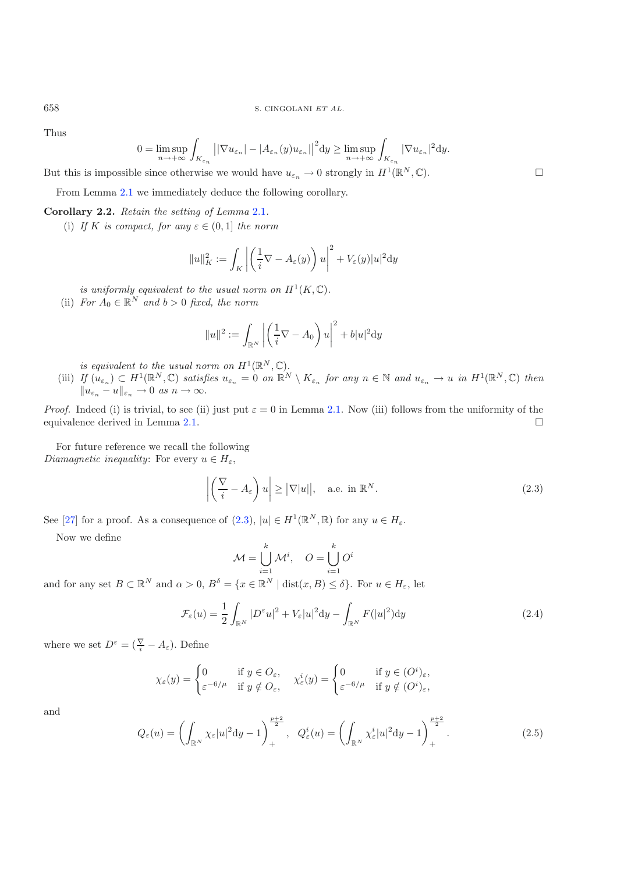Thus

$$
0 = \limsup_{n \to +\infty} \int_{K_{\varepsilon_n}} \left| |\nabla u_{\varepsilon_n}| - |A_{\varepsilon_n}(y) u_{\varepsilon_n}| \right|^2 dy \ge \limsup_{n \to +\infty} \int_{K_{\varepsilon_n}} |\nabla u_{\varepsilon_n}|^2 dy.
$$

But this is impossible since otherwise we would have  $u_{\varepsilon_n} \to 0$  strongly in  $H^1(\mathbb{R}^N, \mathbb{C})$ .

From Lemma [2.1](#page-2-0) we immediately deduce the following corollary.

#### **Corollary 2.2.** *Retain the setting of Lemma* [2.1](#page-2-0)*.*

(i) If K is compact, for any  $\varepsilon \in (0,1]$  the norm

$$
||u||_K^2 := \int_K \left| \left( \frac{1}{i} \nabla - A_{\varepsilon}(y) \right) u \right|^2 + V_{\varepsilon}(y) |u|^2 \mathrm{d}y
$$

*is uniformly equivalent to the usual norm on*  $H^1(K,\mathbb{C})$ *.* 

(ii) *For*  $A_0 \in \mathbb{R}^N$  *and*  $b > 0$  *fixed, the norm* 

$$
||u||^2 := \int_{\mathbb{R}^N} \left| \left( \frac{1}{i} \nabla - A_0 \right) u \right|^2 + b|u|^2 \mathrm{d}y
$$

- <span id="page-5-0"></span>*is equivalent to the usual norm on*  $H^1(\mathbb{R}^N, \mathbb{C})$ *.*
- (iii) If  $(u_{\varepsilon_n}) \subset H^1(\mathbb{R}^N, \mathbb{C})$  *satisfies*  $u_{\varepsilon_n} = 0$  *on*  $\mathbb{R}^N \setminus K_{\varepsilon_n}$  *for any*  $n \in \mathbb{N}$  *and*  $u_{\varepsilon_n} \to u$  *in*  $H^1(\mathbb{R}^N, \mathbb{C})$  *then*  $||u_{\varepsilon_n} - u||_{\varepsilon_n} \to 0 \text{ as } n \to \infty.$

*Proof.* Indeed (i) is trivial, to see (ii) just put  $\varepsilon = 0$  in Lemma [2.1.](#page-2-0) Now (iii) follows from the uniformity of the equivalence derived in Lemma [2.1.](#page-2-0)  $\Box$ 

For future reference we recall the following *Diamagnetic inequality:* For every  $u \in H_{\varepsilon}$ ,

$$
\left| \left( \frac{\nabla}{i} - A_{\varepsilon} \right) u \right| \ge |\nabla |u|, \quad \text{a.e. in } \mathbb{R}^{N}.
$$
 (2.3)

See [\[27\]](#page-22-9) for a proof. As a consequence of [\(2.3\)](#page-5-0),  $|u| \in H^1(\mathbb{R}^N, \mathbb{R})$  for any  $u \in H_{\varepsilon}$ .

Now we define

$$
\mathcal{M} = \bigcup_{i=1}^k \mathcal{M}^i, \quad O = \bigcup_{i=1}^k O^i
$$

and for any set  $B \subset \mathbb{R}^N$  and  $\alpha > 0$ ,  $B^{\delta} = \{x \in \mathbb{R}^N \mid \text{dist}(x, B) \leq \delta\}$ . For  $u \in H_{\varepsilon}$ , let

$$
\mathcal{F}_{\varepsilon}(u) = \frac{1}{2} \int_{\mathbb{R}^N} |D^{\varepsilon} u|^2 + V_{\varepsilon} |u|^2 \mathrm{d}y - \int_{\mathbb{R}^N} F(|u|^2) \mathrm{d}y \tag{2.4}
$$

where we set  $D^{\varepsilon} = (\frac{\nabla}{i} - A_{\varepsilon})$ . Define

$$
\chi_{\varepsilon}(y) = \begin{cases} 0 & \text{if } y \in O_{\varepsilon}, \\ \varepsilon^{-6/\mu} & \text{if } y \notin O_{\varepsilon}, \end{cases} \quad \chi_{\varepsilon}^{i}(y) = \begin{cases} 0 & \text{if } y \in (O^{i})_{\varepsilon}, \\ \varepsilon^{-6/\mu} & \text{if } y \notin (O^{i})_{\varepsilon}, \end{cases}
$$

and

$$
Q_{\varepsilon}(u) = \left(\int_{\mathbb{R}^N} \chi_{\varepsilon}|u|^2 dy - 1\right)_{+}^{\frac{p+2}{2}}, \quad Q_{\varepsilon}^i(u) = \left(\int_{\mathbb{R}^N} \chi_{\varepsilon}^i|u|^2 dy - 1\right)_{+}^{\frac{p+2}{2}}.
$$
\n
$$
(2.5)
$$

 $\Box$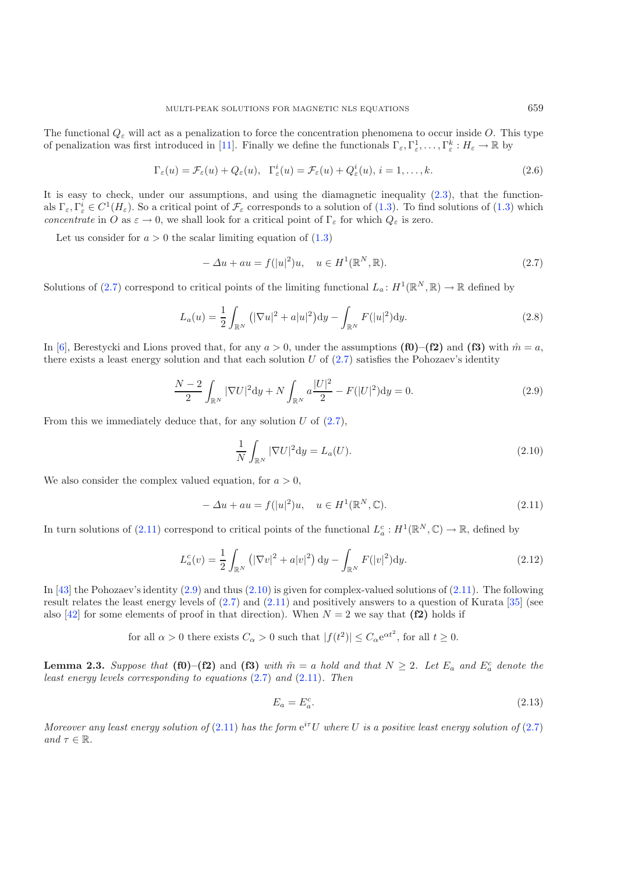The functional  $Q_{\varepsilon}$  will act as a penalization to force the concentration phenomena to occur inside O. This type of penalization was first introduced in [\[11\]](#page-21-4). Finally we define the functionals  $\Gamma_{\varepsilon}, \Gamma_{\varepsilon}^1, \ldots, \Gamma_{\varepsilon}^k : H_{\varepsilon} \to \mathbb{R}$  by

<span id="page-6-0"></span>
$$
\Gamma_{\varepsilon}(u) = \mathcal{F}_{\varepsilon}(u) + Q_{\varepsilon}(u), \quad \Gamma_{\varepsilon}^{i}(u) = \mathcal{F}_{\varepsilon}(u) + Q_{\varepsilon}^{i}(u), \quad i = 1, \dots, k.
$$
\n(2.6)

It is easy to check, under our assumptions, and using the diamagnetic inequality  $(2.3)$ , that the functionals  $\Gamma_{\varepsilon}, \Gamma_{\varepsilon}^{i} \in C^{1}(H_{\varepsilon})$ . So a critical point of  $\mathcal{F}_{\varepsilon}$  corresponds to a solution of  $(1.3)$ . To find solutions of  $(1.3)$  which *concentrate* in O as  $\varepsilon \to 0$ , we shall look for a critical point of  $\Gamma_{\varepsilon}$  for which  $Q_{\varepsilon}$  is zero.

<span id="page-6-2"></span>Let us consider for  $a > 0$  the scalar limiting equation of  $(1.3)$ 

$$
-\Delta u + au = f(|u|^2)u, \quad u \in H^1(\mathbb{R}^N, \mathbb{R}).
$$
\n(2.7)

Solutions of [\(2.7\)](#page-6-0) correspond to critical points of the limiting functional  $L_a: H^1(\mathbb{R}^N, \mathbb{R}) \to \mathbb{R}$  defined by

<span id="page-6-3"></span>
$$
L_a(u) = \frac{1}{2} \int_{\mathbb{R}^N} (|\nabla u|^2 + a|u|^2) dy - \int_{\mathbb{R}^N} F(|u|^2) dy.
$$
 (2.8)

In [\[6](#page-21-14)], Berestycki and Lions proved that, for any  $a > 0$ , under the assumptions **(f0)–(f2)** and **(f3)** with  $\hat{m} = a$ , there exists a least energy solution and that each solution  $U$  of  $(2.7)$  satisfies the Pohozaev's identity

<span id="page-6-1"></span>
$$
\frac{N-2}{2} \int_{\mathbb{R}^N} |\nabla U|^2 dy + N \int_{\mathbb{R}^N} a \frac{|U|^2}{2} - F(|U|^2) dy = 0.
$$
 (2.9)

From this we immediately deduce that, for any solution  $U$  of  $(2.7)$ ,

$$
\frac{1}{N} \int_{\mathbb{R}^N} |\nabla U|^2 \mathrm{d}y = L_a(U). \tag{2.10}
$$

We also consider the complex valued equation, for  $a > 0$ ,

$$
-\Delta u + au = f(|u|^2)u, \quad u \in H^1(\mathbb{R}^N, \mathbb{C}).
$$
\n(2.11)

In turn solutions of [\(2.11\)](#page-6-1) correspond to critical points of the functional  $L_a^c : H^1(\mathbb{R}^N, \mathbb{C}) \to \mathbb{R}$ , defined by

$$
L_a^c(v) = \frac{1}{2} \int_{\mathbb{R}^N} \left( |\nabla v|^2 + a|v|^2 \right) dy - \int_{\mathbb{R}^N} F(|v|^2) dy. \tag{2.12}
$$

In [\[43](#page-22-14)] the Pohozaev's identity [\(2.9\)](#page-6-2) and thus [\(2.10\)](#page-6-3) is given for complex-valued solutions of [\(2.11\)](#page-6-1). The following result relates the least energy levels of [\(2.7\)](#page-6-0) and [\(2.11\)](#page-6-1) and positively answers to a question of Kurata [\[35](#page-22-10)] (see also [\[42\]](#page-22-15) for some elements of proof in that direction). When  $N = 2$  we say that **(f2)** holds if

for all  $\alpha > 0$  there exists  $C_{\alpha} > 0$  such that  $|f(t^2)| \leq C_{\alpha} e^{\alpha t^2}$ , for all  $t \geq 0$ .

**Lemma 2.3.** Suppose that (f0)–(f2) and (f3) with  $\hat{m} = a$  hold and that  $N \geq 2$ . Let  $E_a$  and  $E_a^c$  denote the *least energy levels corresponding to equations* [\(2.7\)](#page-6-0) *and* [\(2.11\)](#page-6-1)*. Then*

$$
E_a = E_a^c. \tag{2.13}
$$

*Moreover any least energy solution of*  $(2.11)$  *has the form*  $e^{i\tau}U$  *where* U *is a positive least energy solution of*  $(2.7)$ *and*  $\tau \in \mathbb{R}$ *.*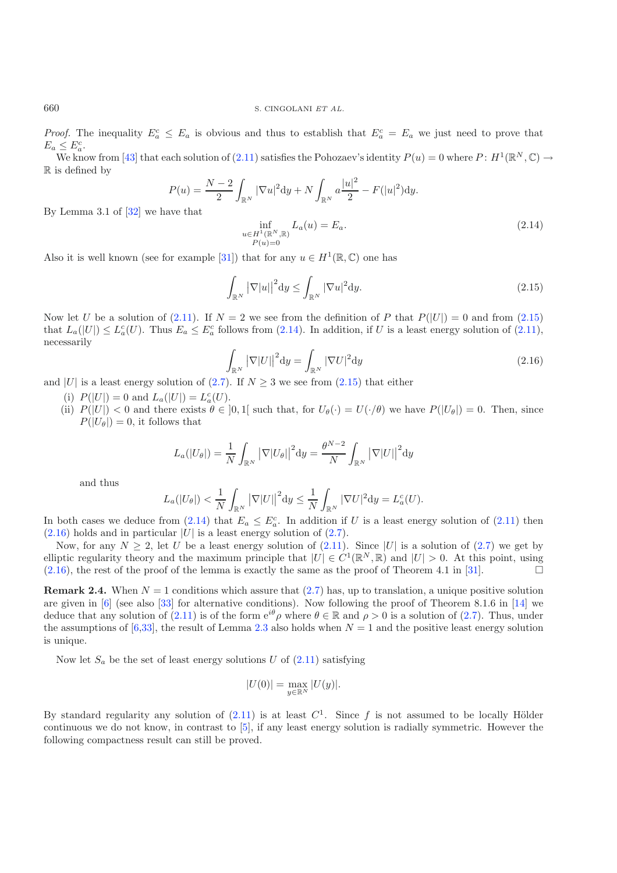*Proof.* The inequality  $E_a^c \leq E_a$  is obvious and thus to establish that  $E_a^c = E_a$  we just need to prove that  $E_a \leq E_a^c$ .

We know from [\[43](#page-22-14)] that each solution of [\(2.11\)](#page-6-1) satisfies the Pohozaev's identity  $P(u) = 0$  where  $P: H^1(\mathbb{R}^N, \mathbb{C}) \to$ R is defined by

<span id="page-7-2"></span><span id="page-7-1"></span><span id="page-7-0"></span>
$$
P(u) = \frac{N-2}{2} \int_{\mathbb{R}^N} |\nabla u|^2 dy + N \int_{\mathbb{R}^N} a \frac{|u|^2}{2} - F(|u|^2) dy.
$$

By Lemma 3.1 of [\[32\]](#page-22-16) we have that

$$
\inf_{\substack{u \in H^1(\mathbb{R}^N, \mathbb{R}) \\ P(u) = 0}} L_a(u) = E_a.
$$
\n(2.14)

Also it is well known (see for example [\[31](#page-22-17)]) that for any  $u \in H^1(\mathbb{R}, \mathbb{C})$  one has

$$
\int_{\mathbb{R}^N} |\nabla |u||^2 \mathrm{d}y \le \int_{\mathbb{R}^N} |\nabla u|^2 \mathrm{d}y. \tag{2.15}
$$

Now let U be a solution of  $(2.11)$ . If  $N = 2$  we see from the definition of P that  $P(|U|) = 0$  and from  $(2.15)$ that  $L_a(|U|) \leq L_a^c(U)$ . Thus  $E_a \leq E_a^c$  follows from [\(2.14\)](#page-7-1). In addition, if U is a least energy solution of [\(2.11\)](#page-6-1), necessarily

$$
\int_{\mathbb{R}^N} |\nabla |U||^2 \mathrm{d}y = \int_{\mathbb{R}^N} |\nabla U|^2 \mathrm{d}y \tag{2.16}
$$

and |U| is a least energy solution of [\(2.7\)](#page-6-0). If  $N \geq 3$  we see from [\(2.15\)](#page-7-0) that either

- (i)  $P(|U|) = 0$  and  $L_a(|U|) = L_a^c(U)$ .
- (ii)  $P(|U|) < 0$  and there exists  $\theta \in [0,1]$  such that, for  $U_{\theta}(\cdot) = U(\cdot/\theta)$  we have  $P(|U_{\theta}|) = 0$ . Then, since  $P(|U_{\theta}|) = 0$ , it follows that

$$
L_a(|U_\theta|) = \frac{1}{N} \int_{\mathbb{R}^N} |\nabla |U_\theta||^2 dy = \frac{\theta^{N-2}}{N} \int_{\mathbb{R}^N} |\nabla |U||^2 dy
$$

and thus

$$
L_a(|U_\theta|) < \frac{1}{N} \int_{\mathbb{R}^N} |\nabla |U||^2 \mathrm{d}y \leq \frac{1}{N} \int_{\mathbb{R}^N} |\nabla U|^2 \mathrm{d}y = L_a^c(U).
$$

In both cases we deduce from  $(2.14)$  that  $E_a \n\t\leq E_a^c$ . In addition if U is a least energy solution of  $(2.11)$  then  $(2.16)$  holds and in particular  $|U|$  is a least energy solution of  $(2.7)$ .

Now, for any  $N \ge 2$ , let U be a least energy solution of [\(2.11\)](#page-6-1). Since |U| is a solution of [\(2.7\)](#page-6-0) we get by elliptic regularity theory and the maximum principle that  $|U| \in C^1(\mathbb{R}^N, \mathbb{R})$  and  $|U| > 0$ . At this point, using  $(2.16)$ , the rest of the proof of the lemma is exactly the same as the proof of Theorem 4.1 in [\[31](#page-22-17)].

<span id="page-7-4"></span>**Remark 2.4.** When  $N = 1$  conditions which assure that  $(2.7)$  has, up to translation, a unique positive solution are given in  $[6]$  $[6]$  (see also  $[33]$  $[33]$  for alternative conditions). Now following the proof of Theorem 8.1.6 in [\[14](#page-21-15)] we deduce that any solution of [\(2.11\)](#page-6-1) is of the form  $e^{i\theta} \rho$  where  $\theta \in \mathbb{R}$  and  $\rho > 0$  is a solution of [\(2.7\)](#page-6-0). Thus, under the assumptions of [\[6](#page-21-14)[,33\]](#page-22-18), the result of Lemma [2.3](#page-3-0) also holds when  $N = 1$  and the positive least energy solution is unique.

Now let  $S_a$  be the set of least energy solutions U of  $(2.11)$  satisfying

$$
|U(0)| = \max_{y \in \mathbb{R}^N} |U(y)|.
$$

<span id="page-7-3"></span>By standard regularity any solution of  $(2.11)$  is at least  $C<sup>1</sup>$ . Since f is not assumed to be locally Hölder continuous we do not know, in contrast to [\[5\]](#page-21-12), if any least energy solution is radially symmetric. However the following compactness result can still be proved.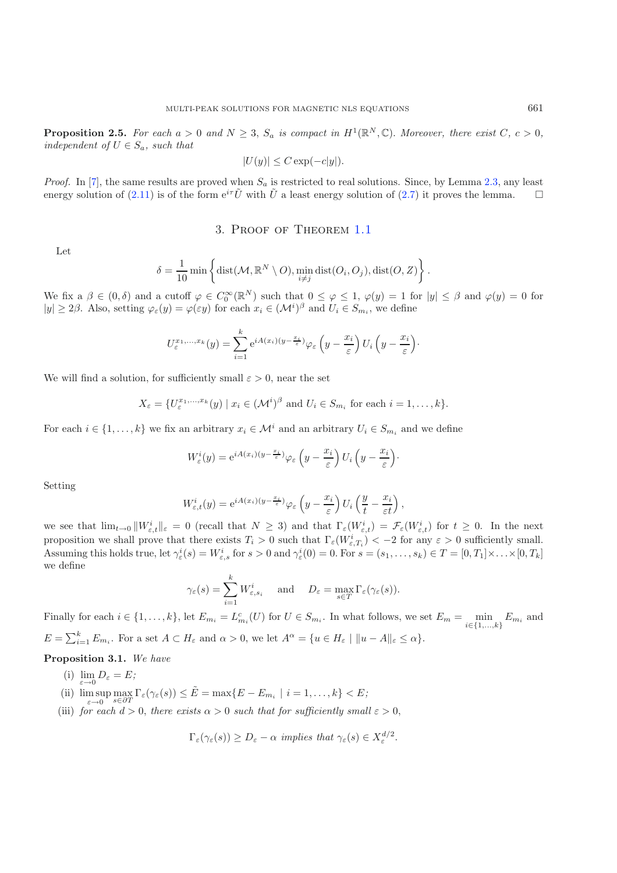**Proposition 2.5.** For each  $a > 0$  and  $N \geq 3$ ,  $S_a$  is compact in  $H^1(\mathbb{R}^N, \mathbb{C})$ . Moreover, there exist  $C, c > 0$ , *independent of*  $U \in S_a$ *, such that* 

$$
|U(y)| \le C \exp(-c|y|).
$$

*Proof.* In [\[7\]](#page-21-2), the same results are proved when  $S_a$  is restricted to real solutions. Since, by Lemma [2.3,](#page-3-0) any least energy solution of [\(2.11\)](#page-6-1) is of the form  $e^{i\tau}\tilde{U}$  with  $\tilde{U}$  a least energy solution of [\(2.7\)](#page-6-0) it proves the lemma.  $\Box$ 

#### 3. Proof of Theorem [1.1](#page-2-0)

Let

$$
\delta = \frac{1}{10} \min \left\{ \text{dist}(\mathcal{M}, \mathbb{R}^N \setminus O), \min_{i \neq j} \text{dist}(O_i, O_j), \text{dist}(O, Z) \right\}
$$

.

We fix a  $\beta \in (0,\delta)$  and a cutoff  $\varphi \in C_0^{\infty}(\mathbb{R}^N)$  such that  $0 \leq \varphi \leq 1$ ,  $\varphi(y) = 1$  for  $|y| \leq \beta$  and  $\varphi(y) = 0$  for  $|y| \ge 2\beta$ . Also, setting  $\varphi_{\varepsilon}(y) = \varphi(\varepsilon y)$  for each  $x_i \in (\mathcal{M}^i)^{\beta}$  and  $U_i \in S_{m_i}$ , we define

$$
U_{\varepsilon}^{x_1,\ldots,x_k}(y) = \sum_{i=1}^k e^{iA(x_i)(y-\frac{x_i}{\varepsilon})} \varphi_{\varepsilon}\left(y-\frac{x_i}{\varepsilon}\right) U_i\left(y-\frac{x_i}{\varepsilon}\right).
$$

We will find a solution, for sufficiently small  $\varepsilon > 0$ , near the set

$$
X_{\varepsilon} = \{U_{\varepsilon}^{x_1,\dots,x_k}(y) \mid x_i \in (\mathcal{M}^i)^{\beta} \text{ and } U_i \in S_{m_i} \text{ for each } i = 1,\dots,k\}.
$$

For each  $i \in \{1,\ldots,k\}$  we fix an arbitrary  $x_i \in \mathcal{M}^i$  and an arbitrary  $U_i \in S_{m_i}$  and we define

$$
W_{\varepsilon}^{i}(y) = e^{iA(x_{i})(y - \frac{x_{i}}{\varepsilon})} \varphi_{\varepsilon}\left(y - \frac{x_{i}}{\varepsilon}\right) U_{i}\left(y - \frac{x_{i}}{\varepsilon}\right).
$$

Setting

$$
W_{\varepsilon,t}^i(y) = e^{iA(x_i)(y - \frac{x_i}{\varepsilon})} \varphi_{\varepsilon} \left( y - \frac{x_i}{\varepsilon} \right) U_i \left( \frac{y}{t} - \frac{x_i}{\varepsilon t} \right),
$$

we see that  $\lim_{t\to 0} ||W_{\varepsilon,t}^i||_{\varepsilon} = 0$  (recall that  $N \geq 3$ ) and that  $\Gamma_{\varepsilon}(W_{\varepsilon,t}^i) = \mathcal{F}_{\varepsilon}(W_{\varepsilon,t}^i)$  for  $t \geq 0$ . In the next proposition we shall prove that there exists  $T_i > 0$  such that  $\Gamma_{\varepsilon}(W_{\varepsilon,T_i}^i) < -2$  for any  $\varepsilon > 0$  sufficiently small. Assuming this holds true, let  $\gamma_{\varepsilon}^{i}(s) = W_{\varepsilon,s}^{i}$  for  $s > 0$  and  $\gamma_{\varepsilon}^{i}(0) = 0$ . For  $s = (s_1, \ldots, s_k) \in T = [0, T_1] \times \ldots \times [0, T_k]$ we define  $\mathbf{h}$ 

$$
\gamma_{\varepsilon}(s) = \sum_{i=1}^{K} W_{\varepsilon, s_i}^i
$$
 and  $D_{\varepsilon} = \max_{s \in T} \Gamma_{\varepsilon}(\gamma_{\varepsilon}(s)).$ 

Finally for each  $i \in \{1, ..., k\}$ , let  $E_{m_i} = L_{m_i}^c(U)$  for  $U \in S_{m_i}$ . In what follows, we set  $E_m = \min_{i \in \{1, ..., k\}} E_{m_i}$  and  $E = \sum_{i=1}^{k} E_{m_i}$ . For a set  $A \subset H_{\varepsilon}$  and  $\alpha > 0$ , we let  $A^{\alpha} = \{u \in H_{\varepsilon} \mid ||u - A||_{\varepsilon} \leq \alpha\}.$ 

**Proposition 3.1.** *We have*

- (i)  $\lim_{\varepsilon \to 0} D_{\varepsilon} = E$ ;
- (ii)  $\limsup_{\varepsilon \to 0} \max_{s \in \partial T} \Gamma_{\varepsilon}(\gamma_{\varepsilon}(s)) \leq \tilde{E} = \max \{ E E_{m_i} \mid i = 1, \dots, k \} < E;$
- (iii) *for each*  $d > 0$ *, there exists*  $\alpha > 0$  *such that for sufficiently small*  $\varepsilon > 0$ *,*

$$
\Gamma_{\varepsilon}(\gamma_{\varepsilon}(s)) \ge D_{\varepsilon} - \alpha
$$
 implies that  $\gamma_{\varepsilon}(s) \in X_{\varepsilon}^{d/2}$ .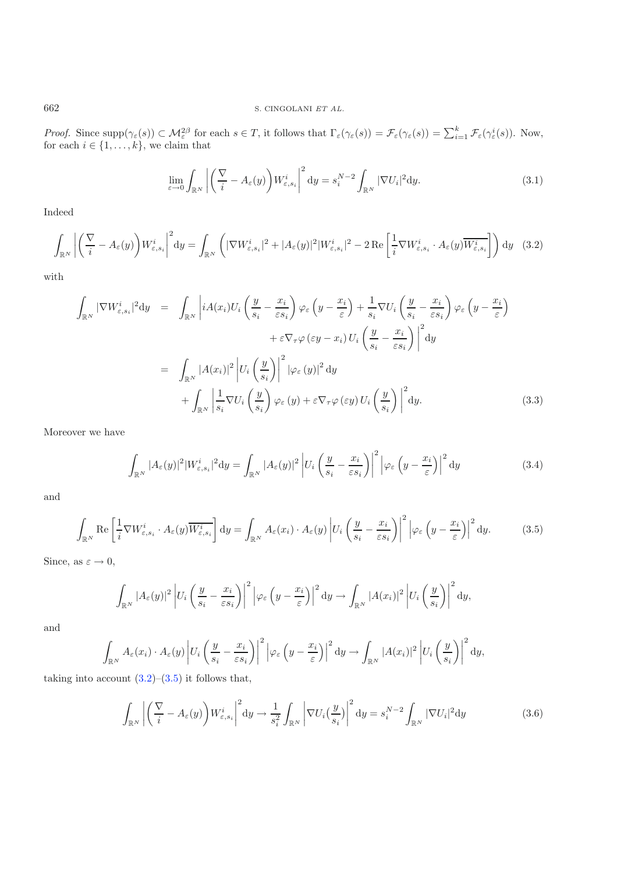<span id="page-9-2"></span><span id="page-9-0"></span>662 S. CINGOLANI *ET AL.*

*Proof.* Since  $\text{supp}(\gamma_{\varepsilon}(s)) \subset \mathcal{M}_{\varepsilon}^{2\beta}$  for each  $s \in T$ , it follows that  $\Gamma_{\varepsilon}(\gamma_{\varepsilon}(s)) = \mathcal{F}_{\varepsilon}(\gamma_{\varepsilon}(s)) = \sum_{i=1}^{k} \mathcal{F}_{\varepsilon}(\gamma_{\varepsilon}^{i}(s))$ . Now, for each  $i \in \{1, \ldots, k\}$ , we claim that

$$
\lim_{\varepsilon \to 0} \int_{\mathbb{R}^N} \left| \left( \frac{\nabla}{i} - A_{\varepsilon}(y) \right) W_{\varepsilon, s_i}^i \right|^2 dy = s_i^{N-2} \int_{\mathbb{R}^N} |\nabla U_i|^2 dy. \tag{3.1}
$$

Indeed

$$
\int_{\mathbb{R}^N} \left| \left( \frac{\nabla}{i} - A_{\varepsilon}(y) \right) W_{\varepsilon, s_i}^i \right|^2 dy = \int_{\mathbb{R}^N} \left( |\nabla W_{\varepsilon, s_i}^i|^2 + |A_{\varepsilon}(y)|^2 |W_{\varepsilon, s_i}^i|^2 - 2 \operatorname{Re} \left[ \frac{1}{i} \nabla W_{\varepsilon, s_i}^i \cdot A_{\varepsilon}(y) \overline{W_{\varepsilon, s_i}^i} \right] \right) dy \tag{3.2}
$$

with

$$
\int_{\mathbb{R}^N} |\nabla W_{\varepsilon, s_i}^i|^2 dy = \int_{\mathbb{R}^N} \left| iA(x_i) U_i \left( \frac{y}{s_i} - \frac{x_i}{\varepsilon s_i} \right) \varphi_{\varepsilon} \left( y - \frac{x_i}{\varepsilon} \right) + \frac{1}{s_i} \nabla U_i \left( \frac{y}{s_i} - \frac{x_i}{\varepsilon s_i} \right) \varphi_{\varepsilon} \left( y - \frac{x_i}{\varepsilon} \right) \right. \\
\left. + \varepsilon \nabla_{\tau} \varphi \left( \varepsilon y - x_i \right) U_i \left( \frac{y}{s_i} - \frac{x_i}{\varepsilon s_i} \right) \right|^2 dy \\
= \int_{\mathbb{R}^N} |A(x_i)|^2 \left| U_i \left( \frac{y}{s_i} \right) \right|^2 \left| \varphi_{\varepsilon} (y) \right|^2 dy \\
+ \int_{\mathbb{R}^N} \left| \frac{1}{s_i} \nabla U_i \left( \frac{y}{s_i} \right) \varphi_{\varepsilon} (y) + \varepsilon \nabla_{\tau} \varphi (\varepsilon y) U_i \left( \frac{y}{s_i} \right) \right|^2 dy.
$$
\n(3.3)

<span id="page-9-1"></span>Moreover we have

$$
\int_{\mathbb{R}^N} |A_{\varepsilon}(y)|^2 |W_{\varepsilon,s_i}^i|^2 dy = \int_{\mathbb{R}^N} |A_{\varepsilon}(y)|^2 \left| U_i \left( \frac{y}{s_i} - \frac{x_i}{\varepsilon s_i} \right) \right|^2 \left| \varphi_{\varepsilon} \left( y - \frac{x_i}{\varepsilon} \right) \right|^2 dy \tag{3.4}
$$

and

$$
\int_{\mathbb{R}^N} \text{Re}\left[\frac{1}{i}\nabla W^i_{\varepsilon, s_i} \cdot A_{\varepsilon}(y) \overline{W^i_{\varepsilon, s_i}}\right] dy = \int_{\mathbb{R}^N} A_{\varepsilon}(x_i) \cdot A_{\varepsilon}(y) \left| U_i \left(\frac{y}{s_i} - \frac{x_i}{\varepsilon s_i}\right) \right|^2 \left| \varphi_{\varepsilon}\left(y - \frac{x_i}{\varepsilon}\right) \right|^2 dy. \tag{3.5}
$$

Since, as  $\varepsilon \to 0$ ,

$$
\int_{\mathbb{R}^N} |A_{\varepsilon}(y)|^2 \left| U_i \left( \frac{y}{s_i} - \frac{x_i}{\varepsilon s_i} \right) \right|^2 \left| \varphi_{\varepsilon} \left( y - \frac{x_i}{\varepsilon} \right) \right|^2 dy \to \int_{\mathbb{R}^N} |A(x_i)|^2 \left| U_i \left( \frac{y}{s_i} \right) \right|^2 dy,
$$

and

$$
\int_{\mathbb{R}^N} A_{\varepsilon}(x_i) \cdot A_{\varepsilon}(y) \left| U_i \left( \frac{y}{s_i} - \frac{x_i}{\varepsilon s_i} \right) \right|^2 \left| \varphi_{\varepsilon} \left( y - \frac{x_i}{\varepsilon} \right) \right|^2 \mathrm{d} y \to \int_{\mathbb{R}^N} |A(x_i)|^2 \left| U_i \left( \frac{y}{s_i} \right) \right|^2 \mathrm{d} y,
$$

taking into account  $(3.2)$ – $(3.5)$  it follows that,

$$
\int_{\mathbb{R}^N} \left| \left( \frac{\nabla}{i} - A_{\varepsilon}(y) \right) W_{\varepsilon, s_i}^i \right|^2 dy \to \frac{1}{s_i^2} \int_{\mathbb{R}^N} \left| \nabla U_i \left( \frac{y}{s_i} \right) \right|^2 dy = s_i^{N-2} \int_{\mathbb{R}^N} |\nabla U_i|^2 dy \tag{3.6}
$$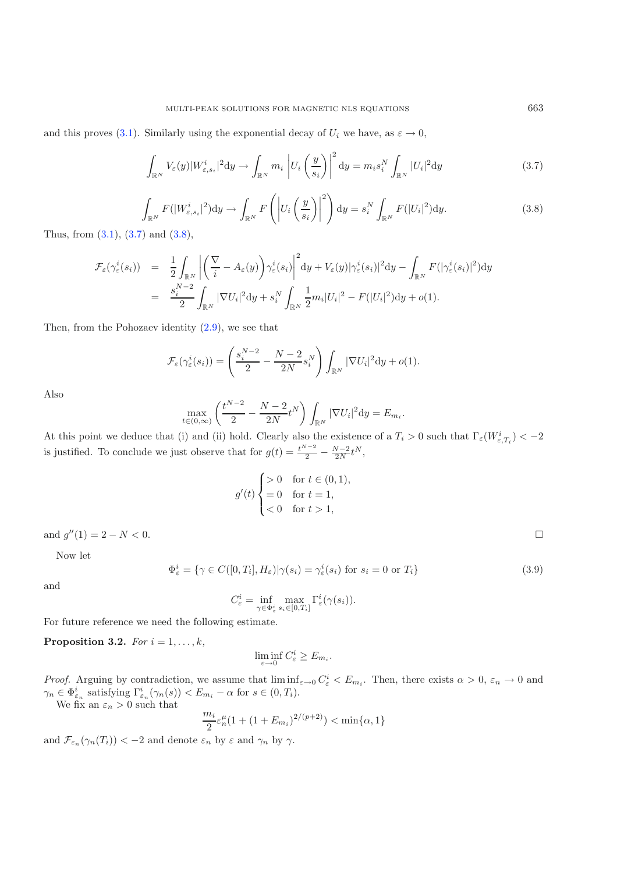<span id="page-10-1"></span><span id="page-10-0"></span>and this proves [\(3.1\)](#page-9-2). Similarly using the exponential decay of  $U_i$  we have, as  $\varepsilon \to 0$ ,

$$
\int_{\mathbb{R}^N} V_{\varepsilon}(y) |W_{\varepsilon,s_i}^i|^2 dy \to \int_{\mathbb{R}^N} m_i \left| U_i \left( \frac{y}{s_i} \right) \right|^2 dy = m_i s_i^N \int_{\mathbb{R}^N} |U_i|^2 dy \tag{3.7}
$$

$$
\int_{\mathbb{R}^N} F(|W_{\varepsilon,s_i}^i|^2) dy \to \int_{\mathbb{R}^N} F\left( \left| U_i\left(\frac{y}{s_i}\right) \right|^2 \right) dy = s_i^N \int_{\mathbb{R}^N} F(|U_i|^2) dy. \tag{3.8}
$$

Thus, from  $(3.1)$ ,  $(3.7)$  and  $(3.8)$ ,

$$
\mathcal{F}_{\varepsilon}(\gamma_{\varepsilon}^{i}(s_{i})) = \frac{1}{2} \int_{\mathbb{R}^{N}} \left| \left( \frac{\nabla}{i} - A_{\varepsilon}(y) \right) \gamma_{\varepsilon}^{i}(s_{i}) \right|^{2} dy + V_{\varepsilon}(y) |\gamma_{\varepsilon}^{i}(s_{i})|^{2} dy - \int_{\mathbb{R}^{N}} F(|\gamma_{\varepsilon}^{i}(s_{i})|^{2}) dy \right|
$$
  

$$
= \frac{s_{i}^{N-2}}{2} \int_{\mathbb{R}^{N}} |\nabla U_{i}|^{2} dy + s_{i}^{N} \int_{\mathbb{R}^{N}} \frac{1}{2} m_{i} |U_{i}|^{2} - F(|U_{i}|^{2}) dy + o(1).
$$

Then, from the Pohozaev identity [\(2.9\)](#page-6-2), we see that

$$
\mathcal{F}_{\varepsilon}(\gamma_{\varepsilon}^{i}(s_{i})) = \left(\frac{s_{i}^{N-2}}{2} - \frac{N-2}{2N}s_{i}^{N}\right)\int_{\mathbb{R}^{N}}|\nabla U_{i}|^{2}dy + o(1).
$$

Also

$$
\max_{t \in (0,\infty)} \left( \frac{t^{N-2}}{2} - \frac{N-2}{2N} t^N \right) \int_{\mathbb{R}^N} |\nabla U_i|^2 \mathrm{d}y = E_{m_i}.
$$

At this point we deduce that (i) and (ii) hold. Clearly also the existence of a  $T_i > 0$  such that  $\Gamma_{\varepsilon}(W_{\varepsilon,T_i}^i) < -2$ is justified. To conclude we just observe that for  $g(t) = \frac{t^{N-2}}{2} - \frac{N-2}{2N}t^N$ ,

$$
g'(t) \begin{cases} > 0 & \text{for } t \in (0,1), \\ = 0 & \text{for } t = 1, \\ < 0 & \text{for } t > 1, \end{cases}
$$

and  $g''(1) = 2 - N < 0$ .

Now let

$$
\Phi_{\varepsilon}^{i} = \{ \gamma \in C([0, T_{i}], H_{\varepsilon}) | \gamma(s_{i}) = \gamma_{\varepsilon}^{i}(s_{i}) \text{ for } s_{i} = 0 \text{ or } T_{i} \}
$$
\n(3.9)

and

$$
C_{\varepsilon}^i = \inf_{\gamma \in \Phi_{\varepsilon}^i} \max_{s_i \in [0, T_i]} \Gamma_{\varepsilon}^i(\gamma(s_i)).
$$

For future reference we need the following estimate.

**Proposition 3.2.** *For*  $i = 1, \ldots, k$ *,* 

$$
\liminf_{\varepsilon \to 0} C^i_{\varepsilon} \ge E_{m_i}.
$$

*Proof.* Arguing by contradiction, we assume that  $\liminf_{\varepsilon \to 0} C_{\varepsilon}^i < E_{m_i}$ . Then, there exists  $\alpha > 0$ ,  $\varepsilon_n \to 0$  and  $\gamma_n \in \Phi_{\varepsilon_n}^i$  satisfying  $\Gamma_{\varepsilon_n}^i(\gamma_n(s)) < E_{m_i} - \alpha$  for  $s \in (0, T_i)$ . We fix an  $\varepsilon_n > 0$  such that

$$
\frac{m_i}{2}\varepsilon_n^{\mu}(1+(1+E_{m_i})^{2/(p+2)}) < \min\{\alpha, 1\}
$$

and  $\mathcal{F}_{\varepsilon_n}(\gamma_n(T_i)) < -2$  and denote  $\varepsilon_n$  by  $\varepsilon$  and  $\gamma_n$  by  $\gamma$ .

 $\Box$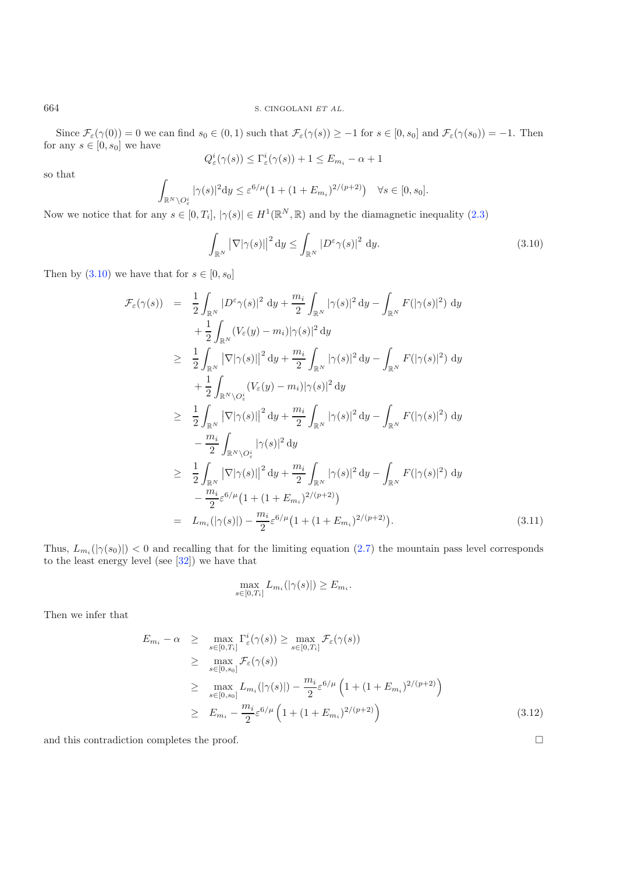Since  $\mathcal{F}_{\varepsilon}(\gamma(0)) = 0$  we can find  $s_0 \in (0,1)$  such that  $\mathcal{F}_{\varepsilon}(\gamma(s)) \ge -1$  for  $s \in [0, s_0]$  and  $\mathcal{F}_{\varepsilon}(\gamma(s_0)) = -1$ . Then for any  $s \in [0, s_0]$  we have

$$
Q_{\varepsilon}^{i}(\gamma(s)) \leq \Gamma_{\varepsilon}^{i}(\gamma(s)) + 1 \leq E_{m_{i}} - \alpha + 1
$$

so that

$$
\int_{\mathbb{R}^N\setminus O^i_{\varepsilon}}|\gamma(s)|^2\mathrm{d}y\leq \varepsilon^{6/\mu}\big(1+(1+E_{m_i})^{2/(p+2)}\big)\quad\forall s\in [0,s_0].
$$

Now we notice that for any  $s \in [0, T_i]$ ,  $|\gamma(s)| \in H^1(\mathbb{R}^N, \mathbb{R})$  and by the diamagnetic inequality [\(2.3\)](#page-5-0)

$$
\int_{\mathbb{R}^N} \left| \nabla |\gamma(s)| \right|^2 \mathrm{d}y \le \int_{\mathbb{R}^N} \left| D^\varepsilon \gamma(s) \right|^2 \mathrm{d}y. \tag{3.10}
$$

Then by  $(3.10)$  we have that for  $s \in [0, s_0]$ 

$$
\mathcal{F}_{\varepsilon}(\gamma(s)) = \frac{1}{2} \int_{\mathbb{R}^{N}} |D^{\varepsilon} \gamma(s)|^{2} dy + \frac{m_{i}}{2} \int_{\mathbb{R}^{N}} |\gamma(s)|^{2} dy - \int_{\mathbb{R}^{N}} F(|\gamma(s)|^{2}) dy \n+ \frac{1}{2} \int_{\mathbb{R}^{N}} (V_{\varepsilon}(y) - m_{i}) |\gamma(s)|^{2} dy \n\geq \frac{1}{2} \int_{\mathbb{R}^{N}} |\nabla |\gamma(s)||^{2} dy + \frac{m_{i}}{2} \int_{\mathbb{R}^{N}} |\gamma(s)|^{2} dy - \int_{\mathbb{R}^{N}} F(|\gamma(s)|^{2}) dy \n+ \frac{1}{2} \int_{\mathbb{R}^{N} \setminus O_{\varepsilon}^{i}} (V_{\varepsilon}(y) - m_{i}) |\gamma(s)|^{2} dy \n\geq \frac{1}{2} \int_{\mathbb{R}^{N}} |\nabla |\gamma(s)||^{2} dy + \frac{m_{i}}{2} \int_{\mathbb{R}^{N}} |\gamma(s)|^{2} dy - \int_{\mathbb{R}^{N}} F(|\gamma(s)|^{2}) dy \n- \frac{m_{i}}{2} \int_{\mathbb{R}^{N} \setminus O_{\varepsilon}^{i}} |\gamma(s)|^{2} dy \n\geq \frac{1}{2} \int_{\mathbb{R}^{N}} |\nabla |\gamma(s)||^{2} dy + \frac{m_{i}}{2} \int_{\mathbb{R}^{N}} |\gamma(s)|^{2} dy - \int_{\mathbb{R}^{N}} F(|\gamma(s)|^{2}) dy \n- \frac{m_{i}}{2} \varepsilon^{6/\mu} (1 + (1 + E_{m_{i}})^{2/(p+2)}) \n= L_{m_{i}}(|\gamma(s)|) - \frac{m_{i}}{2} \varepsilon^{6/\mu} (1 + (1 + E_{m_{i}})^{2/(p+2)}).
$$
\n(3.11)

Thus,  $L_{m_i}(|\gamma(s_0)|) < 0$  and recalling that for the limiting equation [\(2.7\)](#page-6-0) the mountain pass level corresponds to the least energy level (see [\[32](#page-22-16)]) we have that

$$
\max_{s \in [0, T_i]} L_{m_i}(|\gamma(s)|) \ge E_{m_i}.
$$

Then we infer that

$$
E_{m_i} - \alpha \geq \max_{s \in [0, T_i]} \Gamma_{\varepsilon}^i(\gamma(s)) \geq \max_{s \in [0, T_i]} \mathcal{F}_{\varepsilon}(\gamma(s))
$$
  
\n
$$
\geq \max_{s \in [0, s_0]} \mathcal{F}_{\varepsilon}(\gamma(s))
$$
  
\n
$$
\geq \max_{s \in [0, s_0]} L_{m_i}(|\gamma(s)|) - \frac{m_i}{2} \varepsilon^{6/\mu} \left(1 + (1 + E_{m_i})^{2/(p+2)}\right)
$$
  
\n
$$
\geq E_{m_i} - \frac{m_i}{2} \varepsilon^{6/\mu} \left(1 + (1 + E_{m_i})^{2/(p+2)}\right)
$$
\n(3.12)

and this contradiction completes the proof.  $\hfill \square$ 

<span id="page-11-0"></span>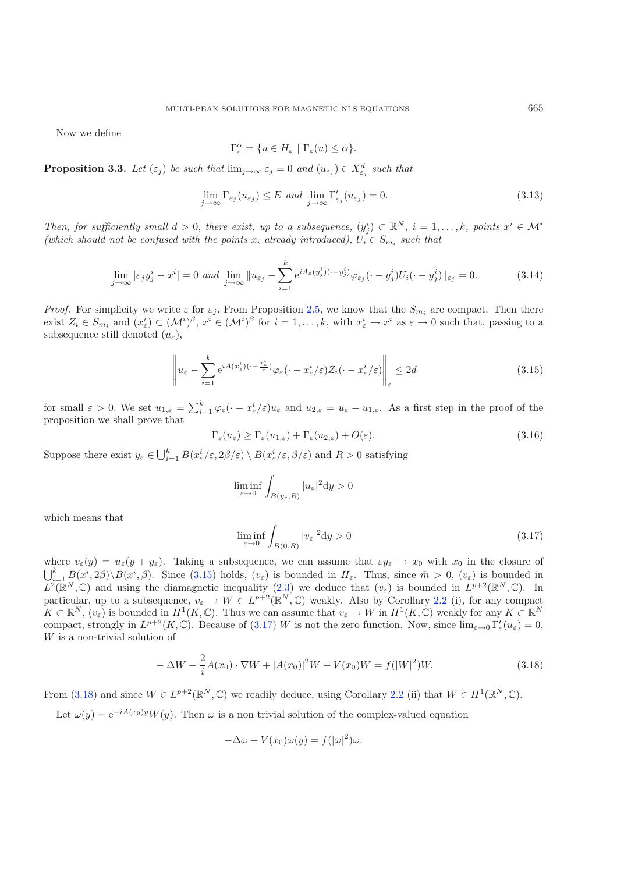Now we define

$$
\Gamma_{\varepsilon}^{\alpha} = \{ u \in H_{\varepsilon} \mid \Gamma_{\varepsilon}(u) \le \alpha \}.
$$

**Proposition 3.3.** *Let*  $(\varepsilon_j)$  *be such that*  $\lim_{j\to\infty} \varepsilon_j = 0$  *and*  $(u_{\varepsilon_j}) \in X_{\varepsilon_j}^d$  *such that* 

$$
\lim_{j \to \infty} \Gamma_{\varepsilon_j}(u_{\varepsilon_j}) \le E \text{ and } \lim_{j \to \infty} \Gamma'_{\varepsilon_j}(u_{\varepsilon_j}) = 0. \tag{3.13}
$$

<span id="page-12-0"></span>*Then, for sufficiently small*  $d > 0$ *, there exist, up to a subsequence,*  $(y_j^i) \subset \mathbb{R}^N$ *, i* = 1,...,k, points  $x^i \in \mathcal{M}^i$ *(which should not be confused with the points*  $x_i$  *already introduced),*  $U_i \in S_{m_i}$  *such that* 

<span id="page-12-3"></span>
$$
\lim_{j \to \infty} |\varepsilon_j y_j^i - x^i| = 0 \text{ and } \lim_{j \to \infty} ||u_{\varepsilon_j} - \sum_{i=1}^k e^{iA_\varepsilon(y_j^i)(\cdot - y_j^i)} \varphi_{\varepsilon_j}(\cdot - y_j^i) U_i(\cdot - y_j^i) ||_{\varepsilon_j} = 0.
$$
 (3.14)

*Proof.* For simplicity we write  $\varepsilon$  for  $\varepsilon_j$ . From Proposition [2.5,](#page-7-3) we know that the  $S_{m_i}$  are compact. Then there exist  $Z_i \in S_{m_i}$  and  $(x_\varepsilon^i) \subset (\mathcal{M}^i)^\beta$ ,  $x^i \in (\mathcal{M}^i)^\beta$  for  $i = 1, \ldots, k$ , with  $x_\varepsilon^i \to x^i$  as  $\varepsilon \to 0$  such that, passing to a subsequence still denoted  $(u_{\varepsilon}),$ 

<span id="page-12-1"></span>
$$
\left\| u_{\varepsilon} - \sum_{i=1}^{k} e^{iA(x_{\varepsilon}^{i})(\cdot - \frac{x_{\varepsilon}^{i}}{\varepsilon})} \varphi_{\varepsilon}(\cdot - x_{\varepsilon}^{i}/\varepsilon) Z_{i}(\cdot - x_{\varepsilon}^{i}/\varepsilon) \right\|_{\varepsilon} \leq 2d \tag{3.15}
$$

for small  $\varepsilon > 0$ . We set  $u_{1,\varepsilon} = \sum_{i=1}^k \varphi_\varepsilon(\cdot - x_\varepsilon^i/\varepsilon)u_\varepsilon$  and  $u_{2,\varepsilon} = u_\varepsilon - u_{1,\varepsilon}$ . As a first step in the proof of the proposition we shall prove that

$$
\Gamma_{\varepsilon}(u_{\varepsilon}) \ge \Gamma_{\varepsilon}(u_{1,\varepsilon}) + \Gamma_{\varepsilon}(u_{2,\varepsilon}) + O(\varepsilon). \tag{3.16}
$$

Suppose there exist  $y_{\varepsilon} \in \bigcup_{i=1}^{k} B(x_{\varepsilon}^{i}/\varepsilon, 2\beta/\varepsilon) \setminus B(x_{\varepsilon}^{i}/\varepsilon, \beta/\varepsilon)$  and  $R > 0$  satisfying

$$
\liminf_{\varepsilon\to 0}\int_{B(y_\varepsilon,R)}|u_\varepsilon|^2\mathrm{d} y>0
$$

<span id="page-12-2"></span>which means that

$$
\liminf_{\varepsilon \to 0} \int_{B(0,R)} |v_{\varepsilon}|^2 dy > 0
$$
\n(3.17)

where  $v_{\varepsilon}(y) = u_{\varepsilon}(y + y_{\varepsilon})$ . Taking a subsequence, we can assume that  $\varepsilon y_{\varepsilon} \to x_0$  with  $x_0$  in the closure of  $\bigcup_{i=1}^k B(x^i, 2\beta) \setminus B(x^i, \beta)$ . Since [\(3.15\)](#page-12-0) holds,  $(v_\varepsilon)$  is bounded in  $H_\varepsilon$ . Thus, since  $\tilde{m} > 0$ ,  $(v_\varepsilon)$  is bounded in  $L^2(\mathbb{R}^N,\mathbb{C})$  and using the diamagnetic inequality [\(2.3\)](#page-5-0) we deduce that  $(v_{\varepsilon})$  is bounded in  $L^{p+2}(\mathbb{R}^N,\mathbb{C})$ . In particular, up to a subsequence,  $v_{\varepsilon} \to W \in L^{p+2}(\mathbb{R}^N, \mathbb{C})$  weakly. Also by Corollary [2.2](#page-2-3) (i), for any compact  $K \subset \mathbb{R}^N$ ,  $(v_{\varepsilon})$  is bounded in  $H^1(K,\mathbb{C})$ . Thus we can assume that  $v_{\varepsilon} \to W$  in  $H^1(K,\mathbb{C})$  weakly for any  $K \subset \mathbb{R}^N$ compact, strongly in  $L^{p+2}(K,\mathbb{C})$ . Because of [\(3.17\)](#page-12-1) W is not the zero function. Now, since  $\lim_{\varepsilon\to 0} \Gamma_{\varepsilon}'(u_{\varepsilon})=0$ , W is a non-trivial solution of

$$
-\Delta W - \frac{2}{i}A(x_0) \cdot \nabla W + |A(x_0)|^2 W + V(x_0)W = f(|W|^2)W.
$$
\n(3.18)

From [\(3.18\)](#page-12-2) and since  $W \in L^{p+2}(\mathbb{R}^N, \mathbb{C})$  we readily deduce, using Corollary [2.2](#page-2-3) (ii) that  $W \in H^1(\mathbb{R}^N, \mathbb{C})$ .

Let  $\omega(y)=e^{-iA(x_0)y}W(y)$ . Then  $\omega$  is a non trivial solution of the complex-valued equation

$$
-\Delta\omega + V(x_0)\omega(y) = f(|\omega|^2)\omega.
$$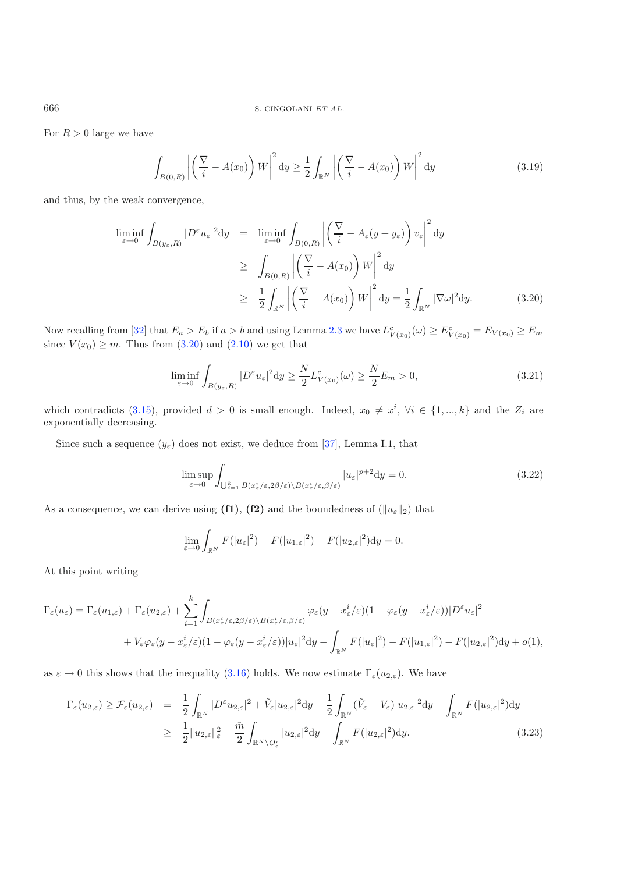666 S. CINGOLANI *ET AL.*

For  $R > 0$  large we have

$$
\int_{B(0,R)} \left| \left( \frac{\nabla}{i} - A(x_0) \right) W \right|^2 dy \ge \frac{1}{2} \int_{\mathbb{R}^N} \left| \left( \frac{\nabla}{i} - A(x_0) \right) W \right|^2 dy \tag{3.19}
$$

<span id="page-13-0"></span>and thus, by the weak convergence,

$$
\liminf_{\varepsilon \to 0} \int_{B(y_{\varepsilon}, R)} |D^{\varepsilon} u_{\varepsilon}|^2 dy = \liminf_{\varepsilon \to 0} \int_{B(0, R)} \left| \left( \frac{\nabla}{i} - A_{\varepsilon}(y + y_{\varepsilon}) \right) v_{\varepsilon} \right|^2 dy
$$
\n
$$
\geq \int_{B(0, R)} \left| \left( \frac{\nabla}{i} - A(x_0) \right) W \right|^2 dy
$$
\n
$$
\geq \frac{1}{2} \int_{\mathbb{R}^N} \left| \left( \frac{\nabla}{i} - A(x_0) \right) W \right|^2 dy = \frac{1}{2} \int_{\mathbb{R}^N} |\nabla \omega|^2 dy. \tag{3.20}
$$

Now recalling from [\[32\]](#page-22-16) that  $E_a > E_b$  if  $a > b$  and using Lemma [2.3](#page-3-0) we have  $L_{V(x_0)}^c(\omega) \ge E_{V(x_0)}^c = E_{V(x_0)} \ge E_m$ since  $V(x_0) \geq m$ . Thus from [\(3.20\)](#page-13-0) and [\(2.10\)](#page-6-3) we get that

$$
\liminf_{\varepsilon \to 0} \int_{B(y_{\varepsilon}, R)} |D^{\varepsilon} u_{\varepsilon}|^2 dy \ge \frac{N}{2} L^c_{V(x_0)}(\omega) \ge \frac{N}{2} E_m > 0,
$$
\n(3.21)

which contradicts [\(3.15\)](#page-12-0), provided  $d > 0$  is small enough. Indeed,  $x_0 \neq x^i$ ,  $\forall i \in \{1, ..., k\}$  and the  $Z_i$  are exponentially decreasing.

Since such a sequence  $(y_{\varepsilon})$  does not exist, we deduce from [\[37](#page-22-19)], Lemma I.1, that

$$
\limsup_{\varepsilon \to 0} \int_{\bigcup_{i=1}^k B(x_\varepsilon^i/\varepsilon, 2\beta/\varepsilon) \backslash B(x_\varepsilon^i/\varepsilon, \beta/\varepsilon)} |u_\varepsilon|^{p+2} dy = 0.
$$
\n(3.22)

As a consequence, we can derive using  $(f1)$ ,  $(f2)$  and the boundedness of  $(\|u_{\varepsilon}\|_2)$  that

$$
\lim_{\varepsilon \to 0} \int_{\mathbb{R}^N} F(|u_{\varepsilon}|^2) - F(|u_{1,\varepsilon}|^2) - F(|u_{2,\varepsilon}|^2) dy = 0.
$$

At this point writing

$$
\Gamma_{\varepsilon}(u_{\varepsilon}) = \Gamma_{\varepsilon}(u_{1,\varepsilon}) + \Gamma_{\varepsilon}(u_{2,\varepsilon}) + \sum_{i=1}^{k} \int_{B(x_{\varepsilon}^{i}/\varepsilon,2\beta/\varepsilon)\backslash B(x_{\varepsilon}^{i}/\varepsilon,\beta/\varepsilon)} \varphi_{\varepsilon}(y-x_{\varepsilon}^{i}/\varepsilon)(1-\varphi_{\varepsilon}(y-x_{\varepsilon}^{i}/\varepsilon))|D^{\varepsilon}u_{\varepsilon}|^{2} + V_{\varepsilon}\varphi_{\varepsilon}(y-x_{\varepsilon}^{i}/\varepsilon)(1-\varphi_{\varepsilon}(y-x_{\varepsilon}^{i}/\varepsilon))|u_{\varepsilon}|^{2}dy - \int_{\mathbb{R}^{N}} F(|u_{\varepsilon}|^{2}) - F(|u_{1,\varepsilon}|^{2}) - F(|u_{2,\varepsilon}|^{2})dy + o(1),
$$

<span id="page-13-1"></span>as  $\varepsilon \to 0$  this shows that the inequality [\(3.16\)](#page-12-3) holds. We now estimate  $\Gamma_{\varepsilon}(u_{2,\varepsilon})$ . We have

$$
\Gamma_{\varepsilon}(u_{2,\varepsilon}) \geq \mathcal{F}_{\varepsilon}(u_{2,\varepsilon}) = \frac{1}{2} \int_{\mathbb{R}^N} |D^{\varepsilon} u_{2,\varepsilon}|^2 + \tilde{V}_{\varepsilon}|u_{2,\varepsilon}|^2 dy - \frac{1}{2} \int_{\mathbb{R}^N} (\tilde{V}_{\varepsilon} - V_{\varepsilon}) |u_{2,\varepsilon}|^2 dy - \int_{\mathbb{R}^N} F(|u_{2,\varepsilon}|^2) dy
$$
\n
$$
\geq \frac{1}{2} ||u_{2,\varepsilon}||_{\varepsilon}^2 - \frac{\tilde{m}}{2} \int_{\mathbb{R}^N \setminus O_{\varepsilon}^{\varepsilon}} |u_{2,\varepsilon}|^2 dy - \int_{\mathbb{R}^N} F(|u_{2,\varepsilon}|^2) dy. \tag{3.23}
$$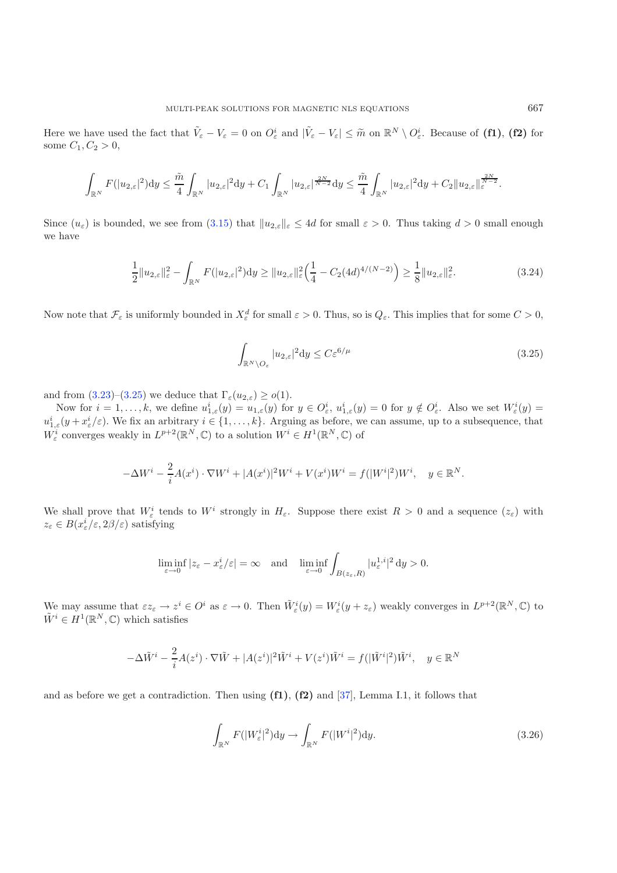Here we have used the fact that  $\tilde{V}_{\varepsilon} - V_{\varepsilon} = 0$  on  $O_{\varepsilon}^{i}$  and  $|\tilde{V}_{\varepsilon} - V_{\varepsilon}| \leq \tilde{m}$  on  $\mathbb{R}^{N} \setminus O_{\varepsilon}^{i}$ . Because of **(f1)**, **(f2)** for some  $C_1, C_2 > 0$ ,

$$
\int_{\mathbb{R}^N} F(|u_{2,\varepsilon}|^2) dy \leq \frac{\tilde{m}}{4} \int_{\mathbb{R}^N} |u_{2,\varepsilon}|^2 dy + C_1 \int_{\mathbb{R}^N} |u_{2,\varepsilon}|^{\frac{2N}{N-2}} dy \leq \frac{\tilde{m}}{4} \int_{\mathbb{R}^N} |u_{2,\varepsilon}|^2 dy + C_2 \|u_{2,\varepsilon}\|_{\varepsilon}^{\frac{2N}{N-2}}.
$$

Since  $(u_{\varepsilon})$  is bounded, we see from [\(3.15\)](#page-12-0) that  $||u_{2,\varepsilon}||_{\varepsilon} \leq 4d$  for small  $\varepsilon > 0$ . Thus taking  $d > 0$  small enough we have

<span id="page-14-0"></span>
$$
\frac{1}{2}||u_{2,\varepsilon}||_{\varepsilon}^{2} - \int_{\mathbb{R}^{N}} F(|u_{2,\varepsilon}|^{2}) dy \ge ||u_{2,\varepsilon}||_{\varepsilon}^{2} \left(\frac{1}{4} - C_{2}(4d)^{4/(N-2)}\right) \ge \frac{1}{8}||u_{2,\varepsilon}||_{\varepsilon}^{2}.
$$
\n(3.24)

Now note that  $\mathcal{F}_{\varepsilon}$  is uniformly bounded in  $X_{\varepsilon}^d$  for small  $\varepsilon > 0$ . Thus, so is  $Q_{\varepsilon}$ . This implies that for some  $C > 0$ ,

$$
\int_{\mathbb{R}^N \setminus O_{\varepsilon}} |u_{2,\varepsilon}|^2 dy \le C \varepsilon^{6/\mu} \tag{3.25}
$$

and from  $(3.23)-(3.25)$  $(3.23)-(3.25)$  $(3.23)-(3.25)$  we deduce that  $\Gamma_{\varepsilon}(u_{2,\varepsilon}) \geq o(1)$ .

Now for  $i = 1, ..., k$ , we define  $u_{1,\varepsilon}^i(y) = u_{1,\varepsilon}(y)$  for  $y \in O_{\varepsilon}^i$ ,  $u_{1,\varepsilon}^i(y) = 0$  for  $y \notin O_{\varepsilon}^i$ . Also we set  $W_{\varepsilon}^i(y) =$  $u_{1,\varepsilon}^i(y+x_\varepsilon^i/\varepsilon)$ . We fix an arbitrary  $i \in \{1,\ldots,k\}$ . Arguing as before, we can assume, up to a subsequence, that  $W_{\varepsilon}^i$  converges weakly in  $L^{p+2}(\mathbb{R}^N,\mathbb{C})$  to a solution  $W^i \in H^1(\mathbb{R}^N,\mathbb{C})$  of

$$
-\Delta W^{i} - \frac{2}{i}A(x^{i}) \cdot \nabla W^{i} + |A(x^{i})|^{2}W^{i} + V(x^{i})W^{i} = f(|W^{i}|^{2})W^{i}, \quad y \in \mathbb{R}^{N}.
$$

We shall prove that  $W^i_\varepsilon$  tends to  $W^i$  strongly in  $H_\varepsilon$ . Suppose there exist  $R > 0$  and a sequence  $(z_\varepsilon)$  with  $z_{\varepsilon} \in B(x_{\varepsilon}^i/\varepsilon, 2\beta/\varepsilon)$  satisfying

<span id="page-14-1"></span>
$$
\liminf_{\varepsilon \to 0} |z_{\varepsilon} - x_{\varepsilon}^i/\varepsilon| = \infty \quad \text{and} \quad \liminf_{\varepsilon \to 0} \int_{B(z_{\varepsilon}, R)} |u_{\varepsilon}^{1,i}|^2 \, \mathrm{d}y > 0.
$$

We may assume that  $\epsilon z_{\epsilon} \to z^{i} \in O^{i}$  as  $\varepsilon \to 0$ . Then  $\tilde{W}_{\epsilon}^{i}(y) = W_{\epsilon}^{i}(y + z_{\epsilon})$  weakly converges in  $L^{p+2}(\mathbb{R}^{N}, \mathbb{C})$  to  $\tilde{W}^i \in H^1(\mathbb{R}^N, \mathbb{C})$  which satisfies

$$
-\Delta \tilde{W}^i - \frac{2}{i}A(z^i) \cdot \nabla \tilde{W} + |A(z^i)|^2 \tilde{W}^i + V(z^i)\tilde{W}^i = f(|\tilde{W}^i|^2)\tilde{W}^i, \quad y \in \mathbb{R}^N
$$

and as before we get a contradiction. Then using **(f1)**, **(f2)** and [\[37\]](#page-22-19), Lemma I.1, it follows that

$$
\int_{\mathbb{R}^N} F(|W^i_{\varepsilon}|^2) dy \to \int_{\mathbb{R}^N} F(|W^i|^2) dy.
$$
\n(3.26)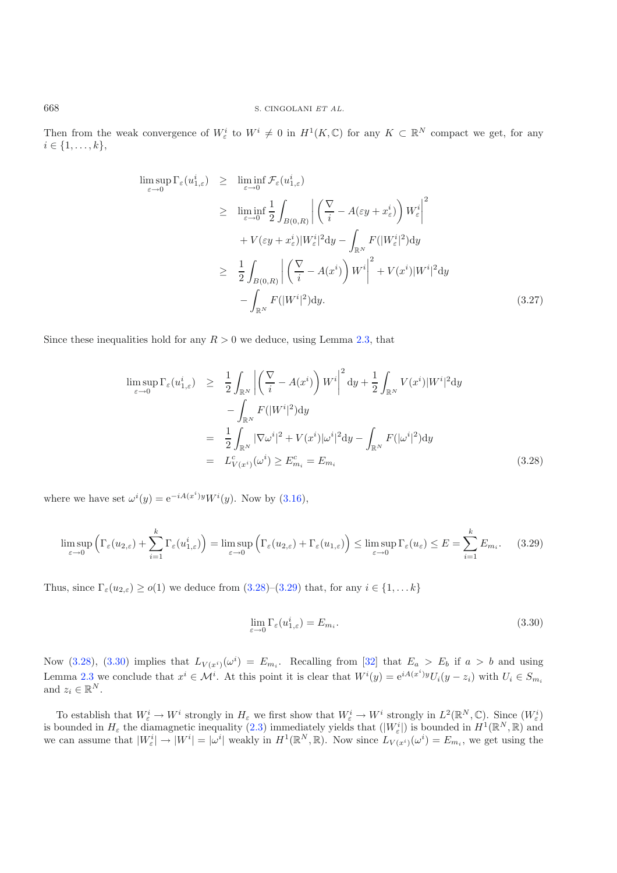Then from the weak convergence of  $W^i_\varepsilon$  to  $W^i \neq 0$  in  $H^1(K,\mathbb{C})$  for any  $K \subset \mathbb{R}^N$  compact we get, for any  $i \in \{1, \ldots, k\},\$ 

$$
\limsup_{\varepsilon \to 0} \Gamma_{\varepsilon}(u_{1,\varepsilon}^{i}) \geq \liminf_{\varepsilon \to 0} \mathcal{F}_{\varepsilon}(u_{1,\varepsilon}^{i})
$$
\n
$$
\geq \liminf_{\varepsilon \to 0} \frac{1}{2} \int_{B(0,R)} \left| \left( \frac{\nabla}{i} - A(\varepsilon y + x_{\varepsilon}^{i}) \right) W_{\varepsilon}^{i} \right|^{2}
$$
\n
$$
+ V(\varepsilon y + x_{\varepsilon}^{i}) |W_{\varepsilon}^{i}|^{2} dy - \int_{\mathbb{R}^{N}} F(|W_{\varepsilon}^{i}|^{2}) dy
$$
\n
$$
\geq \frac{1}{2} \int_{B(0,R)} \left| \left( \frac{\nabla}{i} - A(x^{i}) \right) W^{i} \right|^{2} + V(x^{i}) |W^{i}|^{2} dy
$$
\n
$$
- \int_{\mathbb{R}^{N}} F(|W^{i}|^{2}) dy. \tag{3.27}
$$

<span id="page-15-1"></span><span id="page-15-0"></span>Since these inequalities hold for any  $R > 0$  we deduce, using Lemma [2.3,](#page-3-0) that

<span id="page-15-2"></span>
$$
\limsup_{\varepsilon \to 0} \Gamma_{\varepsilon}(u_{1,\varepsilon}^{i}) \geq \frac{1}{2} \int_{\mathbb{R}^{N}} \left| \left( \frac{\nabla}{i} - A(x^{i}) \right) W^{i} \right|^{2} dy + \frac{1}{2} \int_{\mathbb{R}^{N}} V(x^{i}) |W^{i}|^{2} dy - \int_{\mathbb{R}^{N}} F(|W^{i}|^{2}) dy \right|
$$
\n
$$
= \frac{1}{2} \int_{\mathbb{R}^{N}} |\nabla \omega^{i}|^{2} + V(x^{i}) |\omega^{i}|^{2} dy - \int_{\mathbb{R}^{N}} F(|\omega^{i}|^{2}) dy
$$
\n
$$
= L_{V(x^{i})}^{c}(\omega^{i}) \geq E_{m_{i}}^{c} = E_{m_{i}} \tag{3.28}
$$

where we have set  $\omega^{i}(y) = e^{-iA(x^{i})y}W^{i}(y)$ . Now by [\(3.16\)](#page-12-3),

$$
\limsup_{\varepsilon \to 0} \left( \Gamma_{\varepsilon}(u_{2,\varepsilon}) + \sum_{i=1}^{k} \Gamma_{\varepsilon}(u_{1,\varepsilon}^{i}) \right) = \limsup_{\varepsilon \to 0} \left( \Gamma_{\varepsilon}(u_{2,\varepsilon}) + \Gamma_{\varepsilon}(u_{1,\varepsilon}) \right) \le \limsup_{\varepsilon \to 0} \Gamma_{\varepsilon}(u_{\varepsilon}) \le E = \sum_{i=1}^{k} E_{m_{i}}.
$$
 (3.29)

Thus, since  $\Gamma_{\varepsilon}(u_{2,\varepsilon}) \geq o(1)$  we deduce from  $(3.28)-(3.29)$  $(3.28)-(3.29)$  $(3.28)-(3.29)$  that, for any  $i \in \{1,\ldots k\}$ 

$$
\lim_{\varepsilon \to 0} \Gamma_{\varepsilon}(u_{1,\varepsilon}^i) = E_{m_i}.
$$
\n(3.30)

Now [\(3.28\)](#page-15-0), [\(3.30\)](#page-15-2) implies that  $L_{V(x^i)}(\omega^i) = E_{m_i}$ . Recalling from [\[32\]](#page-22-16) that  $E_a > E_b$  if  $a > b$  and using Lemma [2.3](#page-3-0) we conclude that  $x^i \in \mathcal{M}^i$ . At this point it is clear that  $W^i(y) = e^{iA(x^i)y}U_i(y - z_i)$  with  $U_i \in S_{m_i}$ and  $z_i \in \mathbb{R}^N$ .

To establish that  $W_{\varepsilon}^i \to W^i$  strongly in  $H_{\varepsilon}$  we first show that  $W_{\varepsilon}^i \to W^i$  strongly in  $L^2(\mathbb{R}^N,\mathbb{C})$ . Since  $(W_{\varepsilon}^i)$ is bounded in  $H_{\varepsilon}$  the diamagnetic inequality [\(2.3\)](#page-5-0) immediately yields that  $(|W_{\varepsilon}^{i}|)$  is bounded in  $H^{1}(\mathbb{R}^{N},\mathbb{R})$  and we can assume that  $|W_{\varepsilon}^{i}| \to |W^{i}| = |\omega^{i}|$  weakly in  $H^{1}(\mathbb{R}^{N}, \mathbb{R})$ . Now since  $L_{V(x^{i})}(\omega^{i}) = E_{m_{i}}$ , we get using the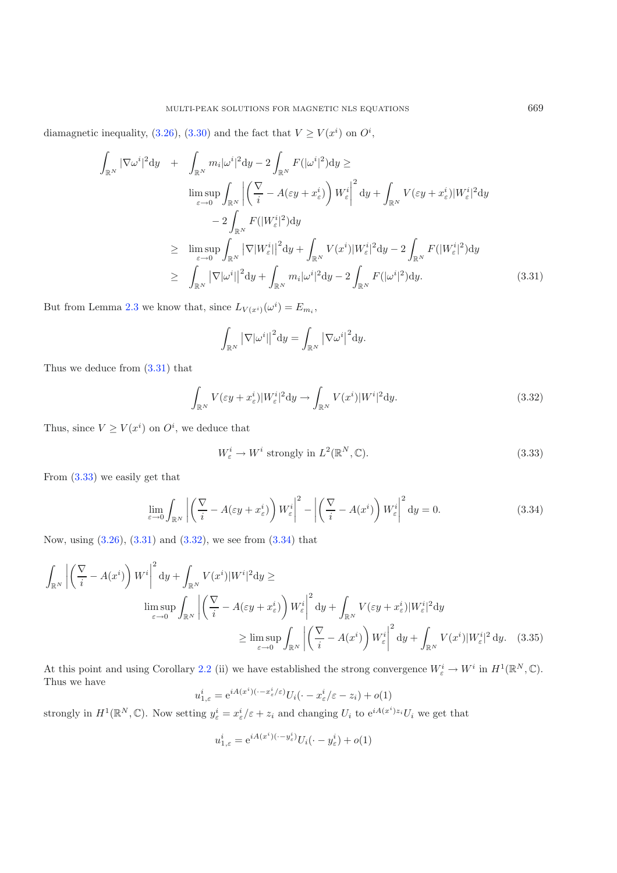<span id="page-16-0"></span>diamagnetic inequality, [\(3.26\)](#page-14-1), [\(3.30\)](#page-15-2) and the fact that  $V \ge V(x^i)$  on  $O^i$ ,

<span id="page-16-2"></span>
$$
\int_{\mathbb{R}^N} |\nabla \omega^i|^2 dy + \int_{\mathbb{R}^N} m_i |\omega^i|^2 dy - 2 \int_{\mathbb{R}^N} F(|\omega^i|^2) dy \ge
$$
\n
$$
\limsup_{\varepsilon \to 0} \int_{\mathbb{R}^N} \left| \left( \frac{\nabla}{i} - A(\varepsilon y + x_\varepsilon^i) \right) W_\varepsilon^i \right|^2 dy + \int_{\mathbb{R}^N} V(\varepsilon y + x_\varepsilon^i) |W_\varepsilon^i|^2 dy
$$
\n
$$
- 2 \int_{\mathbb{R}^N} F(|W_\varepsilon^i|^2) dy
$$
\n
$$
\geq \limsup_{\varepsilon \to 0} \int_{\mathbb{R}^N} |\nabla |W_\varepsilon^i|^2 dy + \int_{\mathbb{R}^N} V(x^i) |W_\varepsilon^i|^2 dy - 2 \int_{\mathbb{R}^N} F(|W_\varepsilon^i|^2) dy
$$
\n
$$
\geq \int_{\mathbb{R}^N} |\nabla |\omega^i|^2 dy + \int_{\mathbb{R}^N} m_i |\omega^i|^2 dy - 2 \int_{\mathbb{R}^N} F(|\omega^i|^2) dy. \tag{3.31}
$$

But from Lemma [2.3](#page-3-0) we know that, since  $L_{V(x^i)}(\omega^i) = E_{m_i}$ ,

<span id="page-16-1"></span>
$$
\int_{\mathbb{R}^N} \left| \nabla |\omega^i| \right|^2 dy = \int_{\mathbb{R}^N} \left| \nabla \omega^i \right|^2 dy.
$$

<span id="page-16-3"></span>Thus we deduce from [\(3.31\)](#page-16-0) that

$$
\int_{\mathbb{R}^N} V(\varepsilon y + x_\varepsilon^i) |W_\varepsilon^i|^2 dy \to \int_{\mathbb{R}^N} V(x^i) |W^i|^2 dy.
$$
\n(3.32)

Thus, since  $V \geq V(x^i)$  on  $O^i$ , we deduce that

$$
W_{\varepsilon}^{i} \to W^{i} \text{ strongly in } L^{2}(\mathbb{R}^{N}, \mathbb{C}).
$$
\n(3.33)

From [\(3.33\)](#page-16-1) we easily get that

$$
\lim_{\varepsilon \to 0} \int_{\mathbb{R}^N} \left| \left( \frac{\nabla}{i} - A(\varepsilon y + x_\varepsilon^i) \right) W_\varepsilon^i \right|^2 - \left| \left( \frac{\nabla}{i} - A(x^i) \right) W_\varepsilon^i \right|^2 dy = 0. \tag{3.34}
$$

Now, using [\(3.26\)](#page-14-1), [\(3.31\)](#page-16-0) and [\(3.32\)](#page-16-2), we see from [\(3.34\)](#page-16-3) that

$$
\int_{\mathbb{R}^N} \left| \left( \frac{\nabla}{i} - A(x^i) \right) W^i \right|^2 dy + \int_{\mathbb{R}^N} V(x^i) |W^i|^2 dy \ge
$$
\n
$$
\limsup_{\varepsilon \to 0} \int_{\mathbb{R}^N} \left| \left( \frac{\nabla}{i} - A(\varepsilon y + x^i_{\varepsilon}) \right) W^i_{\varepsilon} \right|^2 dy + \int_{\mathbb{R}^N} V(\varepsilon y + x^i_{\varepsilon}) |W^i_{\varepsilon}|^2 dy
$$
\n
$$
\geq \limsup_{\varepsilon \to 0} \int_{\mathbb{R}^N} \left| \left( \frac{\nabla}{i} - A(x^i) \right) W^i_{\varepsilon} \right|^2 dy + \int_{\mathbb{R}^N} V(x^i) |W^i_{\varepsilon}|^2 dy. \tag{3.35}
$$

At this point and using Corollary [2.2](#page-2-3) (ii) we have established the strong convergence  $W_{\varepsilon}^{i} \to W^{i}$  in  $H^{1}(\mathbb{R}^{N}, \mathbb{C})$ . Thus we have

$$
u^i_{1,\varepsilon} = e^{iA(x^i)(\cdot - x^i_\varepsilon/\varepsilon)} U_i(\cdot - x^i_\varepsilon/\varepsilon - z_i) + o(1)
$$

strongly in  $H^1(\mathbb{R}^N,\mathbb{C})$ . Now setting  $y^i_{\varepsilon} = x^i_{\varepsilon}/\varepsilon + z_i$  and changing  $U_i$  to  $e^{iA(x^i)z_i}U_i$  we get that

$$
u^i_{1,\varepsilon} = e^{iA(x^i)(\cdot - y^i_\varepsilon)} U_i(\cdot - y^i_\varepsilon) + o(1)
$$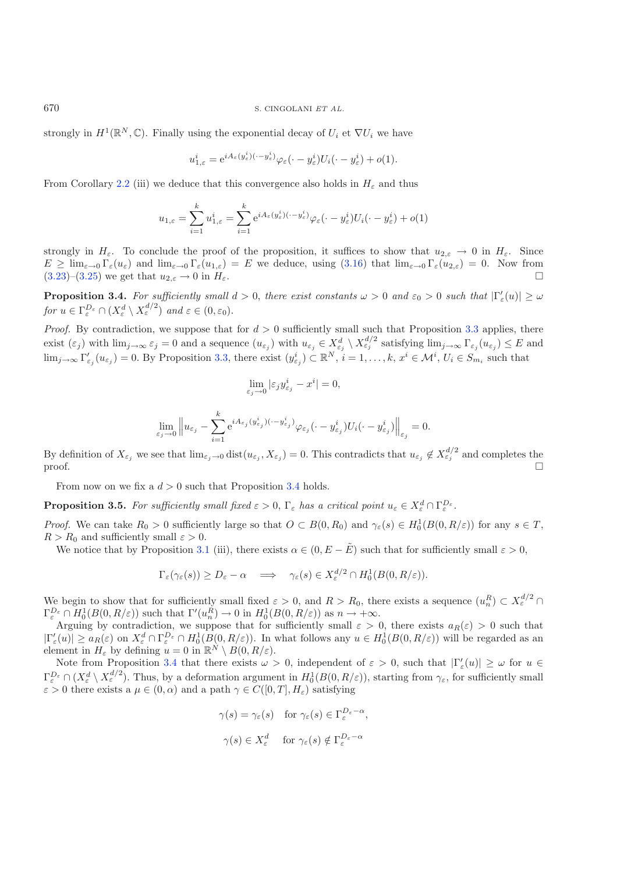strongly in  $H^1(\mathbb{R}^N,\mathbb{C})$ . Finally using the exponential decay of  $U_i$  et  $\nabla U_i$  we have

$$
u^i_{1,\varepsilon} = e^{iA_\varepsilon(y^i_\varepsilon)(\cdot - y^i_\varepsilon)}\varphi_\varepsilon(\cdot - y^i_\varepsilon)U_i(\cdot - y^i_\varepsilon) + o(1).
$$

From Corollary [2.2](#page-2-3) (iii) we deduce that this convergence also holds in  $H_{\varepsilon}$  and thus

$$
u_{1,\varepsilon} = \sum_{i=1}^k u_{1,\varepsilon}^i = \sum_{i=1}^k e^{iA_\varepsilon(y^i_\varepsilon)(\cdot - y^i_\varepsilon)} \varphi_\varepsilon(\cdot - y^i_\varepsilon) U_i(\cdot - y^i_\varepsilon) + o(1)
$$

strongly in  $H_{\varepsilon}$ . To conclude the proof of the proposition, it suffices to show that  $u_{2,\varepsilon} \to 0$  in  $H_{\varepsilon}$ . Since  $E \geq \lim_{\varepsilon \to 0} \Gamma_{\varepsilon}(u_{\varepsilon})$  and  $\lim_{\varepsilon \to 0} \Gamma_{\varepsilon}(u_{1,\varepsilon}) = E$  we deduce, using  $(3.16)$  that  $\lim_{\varepsilon \to 0} \Gamma_{\varepsilon}(u_{2,\varepsilon}) = 0$ . Now from  $(3.23)-(3.25)$  $(3.23)-(3.25)$  $(3.23)-(3.25)$  we get that  $u_{2,\varepsilon} \to 0$  in  $H_{\varepsilon}$ .

**Proposition 3.4.** For sufficiently small  $d > 0$ , there exist constants  $\omega > 0$  and  $\varepsilon_0 > 0$  such that  $|\Gamma'_\varepsilon(u)| \geq \omega$ *for*  $u \in \Gamma_{\varepsilon}^{D_{\varepsilon}} \cap (X_{\varepsilon}^d \setminus X_{\varepsilon}^{d/2})$  *and*  $\varepsilon \in (0, \varepsilon_0)$ .

*Proof.* By contradiction, we suppose that for  $d > 0$  sufficiently small such that Proposition [3.3](#page-3-0) applies, there exist  $(\varepsilon_j)$  with  $\lim_{j\to\infty} \varepsilon_j = 0$  and a sequence  $(u_{\varepsilon_j})$  with  $u_{\varepsilon_j} \in X_{\varepsilon_j}^d \setminus X_{\varepsilon_j}^{d/2}$  satisfying  $\lim_{j\to\infty} \Gamma_{\varepsilon_j}(u_{\varepsilon_j}) \leq E$  and  $\lim_{j\to\infty} \Gamma'_{\varepsilon_j}(u_{\varepsilon_j})=0.$  By Proposition [3.3,](#page-3-0) there exist  $(y_{\varepsilon_j}^i) \subset \mathbb{R}^N$ ,  $i=1,\ldots,k$ ,  $x^i \in \mathcal{M}^i$ ,  $U_i \in S_{m_i}$  such that

$$
\lim_{\varepsilon_j \to 0} |\varepsilon_j y_{\varepsilon_j}^i - x^i| = 0,
$$

$$
\lim_{\varepsilon_j \to 0} \left\| u_{\varepsilon_j} - \sum_{i=1}^k \mathrm{e}^{i A_{\varepsilon_j} (y_{\varepsilon_j}^i)(\cdot - y_{\varepsilon_j}^i)} \varphi_{\varepsilon_j} (\cdot - y_{\varepsilon_j}^i) U_i(\cdot - y_{\varepsilon_j}^i) \right\|_{\varepsilon_j} = 0.
$$

By definition of  $X_{\varepsilon_j}$  we see that  $\lim_{\varepsilon_j \to 0} \text{dist}(u_{\varepsilon_j}, X_{\varepsilon_j}) = 0$ . This contradicts that  $u_{\varepsilon_j} \notin X_{\varepsilon_j}^{d/2}$  and completes the  $\Box$ 

From now on we fix a  $d > 0$  such that Proposition [3.4](#page-7-4) holds.

**Proposition 3.5.** For sufficiently small fixed  $\varepsilon > 0$ ,  $\Gamma_{\varepsilon}$  has a critical point  $u_{\varepsilon} \in X_{\varepsilon}^d \cap \Gamma_{\varepsilon}^{D_{\varepsilon}}$ .

*Proof.* We can take  $R_0 > 0$  sufficiently large so that  $O \subset B(0, R_0)$  and  $\gamma_{\varepsilon}(s) \in H_0^1(B(0, R/\varepsilon))$  for any  $s \in T$ ,  $R>R_0$  and sufficiently small  $\varepsilon > 0$ .

We notice that by Proposition [3.1](#page-2-0) (iii), there exists  $\alpha \in (0, E - \tilde{E})$  such that for sufficiently small  $\varepsilon > 0$ ,

$$
\Gamma_{\varepsilon}(\gamma_{\varepsilon}(s)) \ge D_{\varepsilon} - \alpha \quad \Longrightarrow \quad \gamma_{\varepsilon}(s) \in X_{\varepsilon}^{d/2} \cap H_0^1(B(0, R/\varepsilon)).
$$

We begin to show that for sufficiently small fixed  $\varepsilon > 0$ , and  $R > R_0$ , there exists a sequence  $(u_n^R) \subset X_\varepsilon^{d/2} \cap$  $\Gamma_{\varepsilon}^{D_{\varepsilon}} \cap H_0^1(B(0,R/\varepsilon))$  such that  $\Gamma'(u_n^{\tilde{R}}) \to 0$  in  $H_0^1(B(0,R/\varepsilon))$  as  $n \to +\infty$ .

Arguing by contradiction, we suppose that for sufficiently small  $\varepsilon > 0$ , there exists  $a_R(\varepsilon) > 0$  such that  $|\Gamma_{\varepsilon}'(u)| \ge a_R(\varepsilon)$  on  $X_{\varepsilon}^d \cap \Gamma_{\varepsilon}^{D_{\varepsilon}} \cap H_0^1(B(0,R/\varepsilon))$ . In what follows any  $u \in H_0^1(B(0,R/\varepsilon))$  will be regarded as an element in  $H_{\varepsilon}$  by defining  $u = 0$  in  $\mathbb{R}^N \setminus B(0, R/\varepsilon)$ .

Note from Proposition [3.4](#page-7-4) that there exists  $\omega > 0$ , independent of  $\varepsilon > 0$ , such that  $|\Gamma_{\varepsilon}'(u)| \geq \omega$  for  $u \in$  $\Gamma_{\varepsilon}^{D_{\varepsilon}} \cap (X_{\varepsilon}^{d} \setminus X_{\varepsilon}^{d/2})$ . Thus, by a deformation argument in  $H_0^1(B(0,R/\varepsilon))$ , starting from  $\gamma_{\varepsilon}$ , for sufficiently small  $\varepsilon > 0$  there exists a  $\mu \in (0, \alpha)$  and a path  $\gamma \in C([0, T], H_{\varepsilon})$  satisfying

$$
\gamma(s) = \gamma_{\varepsilon}(s) \quad \text{for } \gamma_{\varepsilon}(s) \in \Gamma_{\varepsilon}^{D_{\varepsilon} - \alpha},
$$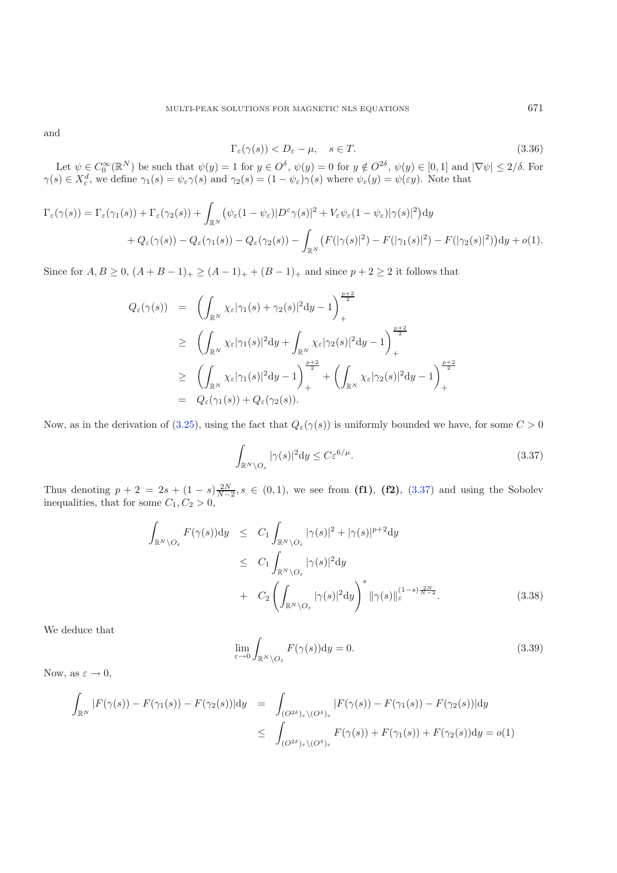and

<span id="page-18-2"></span>
$$
\Gamma_{\varepsilon}(\gamma(s)) < D_{\varepsilon} - \mu, \quad s \in T. \tag{3.36}
$$

Let  $\psi \in C_0^{\infty}(\mathbb{R}^N)$  be such that  $\psi(y) = 1$  for  $y \in O^{\delta}$ ,  $\psi(y) = 0$  for  $y \notin O^{2\delta}$ ,  $\psi(y) \in [0,1]$  and  $|\nabla \psi| \leq 2/\delta$ . For  $\gamma(s) \in X_{\varepsilon}^d$ , we define  $\gamma_1(s) = \psi_{\varepsilon} \gamma(s)$  and  $\gamma_2(s) = (1 - \psi_{\varepsilon}) \gamma(s)$  where  $\psi_{\varepsilon}(y) = \psi(\varepsilon y)$ . Note that

$$
\Gamma_{\varepsilon}(\gamma(s)) = \Gamma_{\varepsilon}(\gamma_1(s)) + \Gamma_{\varepsilon}(\gamma_2(s)) + \int_{\mathbb{R}^N} \left( \psi_{\varepsilon}(1 - \psi_{\varepsilon}) |D^{\varepsilon}\gamma(s)|^2 + V_{\varepsilon}\psi_{\varepsilon}(1 - \psi_{\varepsilon})|\gamma(s)|^2 \right) dy
$$
  
+  $Q_{\varepsilon}(\gamma(s)) - Q_{\varepsilon}(\gamma_1(s)) - Q_{\varepsilon}(\gamma_2(s)) - \int_{\mathbb{R}^N} \left( F(|\gamma(s)|^2) - F(|\gamma_1(s)|^2) - F(|\gamma_2(s)|^2) \right) dy + o(1).$ 

Since for  $A, B \ge 0$ ,  $(A + B - 1)_{+} \ge (A - 1)_{+} + (B - 1)_{+}$  and since  $p + 2 \ge 2$  it follows that

<span id="page-18-0"></span>
$$
Q_{\varepsilon}(\gamma(s)) = \left( \int_{\mathbb{R}^N} \chi_{\varepsilon} |\gamma_1(s) + \gamma_2(s)|^2 dy - 1 \right)_+^{\frac{p+2}{2}}
$$
  
\n
$$
\geq \left( \int_{\mathbb{R}^N} \chi_{\varepsilon} |\gamma_1(s)|^2 dy + \int_{\mathbb{R}^N} \chi_{\varepsilon} |\gamma_2(s)|^2 dy - 1 \right)_+^{\frac{p+2}{2}}
$$
  
\n
$$
\geq \left( \int_{\mathbb{R}^N} \chi_{\varepsilon} |\gamma_1(s)|^2 dy - 1 \right)_+^{\frac{p+2}{2}} + \left( \int_{\mathbb{R}^N} \chi_{\varepsilon} |\gamma_2(s)|^2 dy - 1 \right)_+^{\frac{p+2}{2}}
$$
  
\n
$$
= Q_{\varepsilon}(\gamma_1(s)) + Q_{\varepsilon}(\gamma_2(s)).
$$

Now, as in the derivation of [\(3.25\)](#page-14-0), using the fact that  $Q_{\varepsilon}(\gamma(s))$  is uniformly bounded we have, for some  $C > 0$ 

$$
\int_{\mathbb{R}^N \setminus O_{\varepsilon}} |\gamma(s)|^2 dy \le C \varepsilon^{6/\mu}.
$$
\n(3.37)

Thus denoting  $p + 2 = 2s + (1 - s) \frac{2N}{N-2}$ ,  $s \in (0, 1)$ , we see from (f1), (f2), [\(3.37\)](#page-18-0) and using the Sobolev inequalities, that for some  $C_1, C_2 > 0$ ,

<span id="page-18-1"></span>
$$
\int_{\mathbb{R}^N \setminus O_{\varepsilon}} F(\gamma(s)) dy \leq C_1 \int_{\mathbb{R}^N \setminus O_{\varepsilon}} |\gamma(s)|^2 + |\gamma(s)|^{p+2} dy
$$
\n
$$
\leq C_1 \int_{\mathbb{R}^N \setminus O_{\varepsilon}} |\gamma(s)|^2 dy
$$
\n
$$
+ C_2 \left( \int_{\mathbb{R}^N \setminus O_{\varepsilon}} |\gamma(s)|^2 dy \right)^s ||\gamma(s)||_{\varepsilon}^{(1-s) \frac{2N}{N-2}}.
$$
\n(3.38)

We deduce that

$$
\lim_{\varepsilon \to 0} \int_{\mathbb{R}^N \setminus O_{\varepsilon}} F(\gamma(s)) \mathrm{d}y = 0. \tag{3.39}
$$

Now, as  $\varepsilon \to 0$ ,

$$
\int_{\mathbb{R}^N} |F(\gamma(s)) - F(\gamma_1(s)) - F(\gamma_2(s))| \mathrm{d}y = \int_{(O^{2\delta})_{\varepsilon} \setminus (O^{\delta})_{\varepsilon}} |F(\gamma(s)) - F(\gamma_1(s)) - F(\gamma_2(s))| \mathrm{d}y
$$
\n
$$
\leq \int_{(O^{2\delta})_{\varepsilon} \setminus (O^{\delta})_{\varepsilon}} F(\gamma(s)) + F(\gamma_1(s)) + F(\gamma_2(s)) \mathrm{d}y = o(1)
$$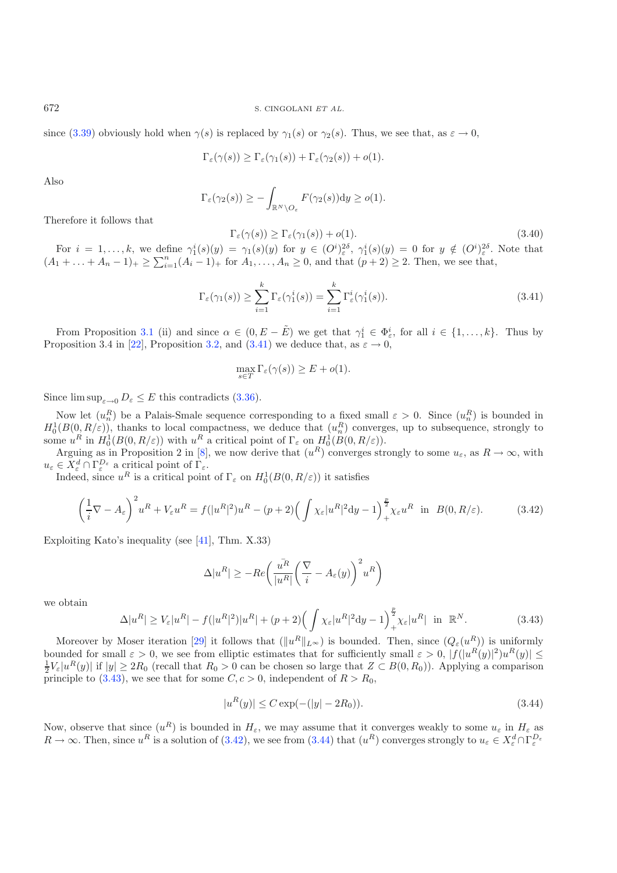672 S. CINGOLANI *ET AL.*

since [\(3.39\)](#page-18-1) obviously hold when  $\gamma(s)$  is replaced by  $\gamma_1(s)$  or  $\gamma_2(s)$ . Thus, we see that, as  $\varepsilon \to 0$ ,

<span id="page-19-0"></span>
$$
\Gamma_{\varepsilon}(\gamma(s)) \geq \Gamma_{\varepsilon}(\gamma_1(s)) + \Gamma_{\varepsilon}(\gamma_2(s)) + o(1).
$$

Also

$$
\Gamma_{\varepsilon}(\gamma_2(s)) \geq -\int_{\mathbb{R}^N \setminus O_{\varepsilon}} F(\gamma_2(s)) \mathrm{d} y \geq o(1).
$$

Therefore it follows that

$$
\Gamma_{\varepsilon}(\gamma(s)) \ge \Gamma_{\varepsilon}(\gamma_1(s)) + o(1). \tag{3.40}
$$

For  $i = 1, ..., k$ , we define  $\gamma_1^i(s)(y) = \gamma_1(s)(y)$  for  $y \in (O^i)_{\varepsilon}^{2\delta}$ ,  $\gamma_1^i(s)(y) = 0$  for  $y \notin (O^i)_{\varepsilon}^{2\delta}$ . Note that  $(A_1 + ... + A_n - 1)_+ \ge \sum_{i=1}^n (A_i - 1)_+$  for  $A_1, ..., A_n \ge 0$ , and that  $(p+2) \ge 2$ . Then, we see that,

$$
\Gamma_{\varepsilon}(\gamma_1(s)) \ge \sum_{i=1}^k \Gamma_{\varepsilon}(\gamma_1^i(s)) = \sum_{i=1}^k \Gamma_{\varepsilon}^i(\gamma_1^i(s)).
$$
\n(3.41)

<span id="page-19-2"></span>From Proposition [3.1](#page-2-0) (ii) and since  $\alpha \in (0, E - \tilde{E})$  we get that  $\gamma_1^i \in \Phi_{\varepsilon}^i$ , for all  $i \in \{1, ..., k\}$ . Thus by Proposition 3.4 in [\[22](#page-22-20)], Proposition [3.2,](#page-2-3) and [\(3.41\)](#page-19-0) we deduce that, as  $\varepsilon \to 0$ ,

$$
\max_{s \in T} \Gamma_{\varepsilon}(\gamma(s)) \ge E + o(1).
$$

Since  $\limsup_{\varepsilon\to 0} D_{\varepsilon} \leq E$  this contradicts [\(3.36\)](#page-18-2).

Now let  $(u_n^R)$  be a Palais-Smale sequence corresponding to a fixed small  $\varepsilon > 0$ . Since  $(u_n^R)$  is bounded in  $H_0^1(B(0, R/\varepsilon))$ , thanks to local compactness, we deduce that  $(u_n^R)$  converges, up to subsequence, strongly to some  $u^R$  in  $H_0^1(B(0, R/\varepsilon))$  with  $u^R$  a critical point of  $\Gamma_\varepsilon$  on  $H_0^1(B(0, R/\varepsilon))$ .

<span id="page-19-1"></span>Arguing as in Proposition 2 in [\[8\]](#page-21-16), we now derive that  $(u^R)$  converges strongly to some  $u_{\varepsilon}$ , as  $R \to \infty$ , with  $u_{\varepsilon} \in \check{X}_{\varepsilon}^d \cap \Gamma_{\varepsilon}^{D_{\varepsilon}}$  a critical point of  $\Gamma_{\varepsilon}$ .

Indeed, since  $u^R$  is a critical point of  $\Gamma_{\varepsilon}$  on  $H_0^1(B(0, R/\varepsilon))$  it satisfies

$$
\left(\frac{1}{i}\nabla - A_{\varepsilon}\right)^2 u^R + V_{\varepsilon} u^R = f(|u^R|^2)u^R - (p+2)\left(\int \chi_{\varepsilon}|u^R|^2 dy - 1\right)^{\frac{p}{2}} \chi_{\varepsilon} u^R \text{ in } B(0, R/\varepsilon). \tag{3.42}
$$

Exploiting Kato's inequality (see [\[41](#page-22-21)], Thm. X.33)

<span id="page-19-3"></span>
$$
\Delta |u^R| \ge -Re\left(\frac{\bar{u^R}}{|u^R|}\left(\frac{\nabla}{i} - A_{\varepsilon}(y)\right)^2 u^R\right)
$$

we obtain

$$
\Delta |u^R| \ge V_{\varepsilon} |u^R| - f(|u^R|^2)|u^R| + (p+2) \Big(\int \chi_{\varepsilon} |u^R|^2 dy - 1\Big)_{+}^{\frac{p}{2}} \chi_{\varepsilon} |u^R| \quad \text{in } \mathbb{R}^N. \tag{3.43}
$$

Moreover by Moser iteration [\[29\]](#page-22-22) it follows that  $(\|u^R\|_{L^{\infty}})$  is bounded. Then, since  $(Q_{\varepsilon}(u^R))$  is uniformly bounded for small  $\varepsilon > 0$ , we see from elliptic estimates that for sufficiently small  $\varepsilon > 0$ ,  $|f(|u^{R}(y)|^2)u^{R}(y)| \le$  $\frac{1}{2}V_{\varepsilon} |u^R(y)|$  if  $|y| \geq 2R_0$  (recall that  $R_0 > 0$  can be chosen so large that  $Z \subset B(0, R_0)$ ). Applying a comparison principle to [\(3.43\)](#page-19-1), we see that for some  $C, c > 0$ , independent of  $R > R_0$ ,

$$
|u^R(y)| \le C \exp(-(|y| - 2R_0)).\tag{3.44}
$$

Now, observe that since  $(u^R)$  is bounded in  $H_\varepsilon$ , we may assume that it converges weakly to some  $u_\varepsilon$  in  $H_\varepsilon$  as  $R \to \infty$ . Then, since  $u^R$  is a solution of [\(3.42\)](#page-19-2), we see from [\(3.44\)](#page-19-3) that  $(u^R)$  converges strongly to  $u_{\varepsilon} \in X_{\varepsilon}^d \cap \Gamma_{\varepsilon}^{D_{\varepsilon}}$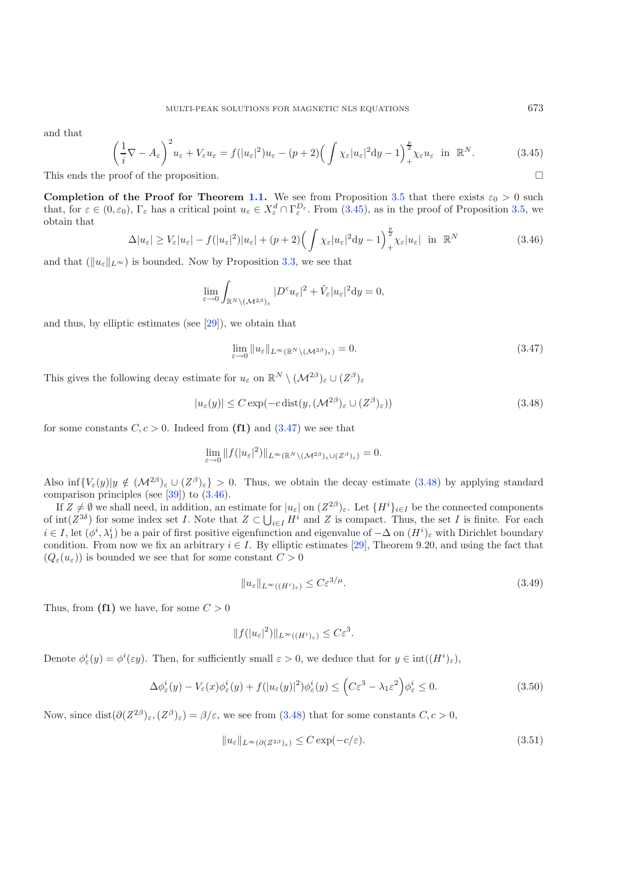<span id="page-20-3"></span><span id="page-20-0"></span>and that

$$
\left(\frac{1}{i}\nabla - A_{\varepsilon}\right)^2 u_{\varepsilon} + V_{\varepsilon} u_{\varepsilon} = f(|u_{\varepsilon}|^2)u_{\varepsilon} - (p+2)\left(\int \chi_{\varepsilon}|u_{\varepsilon}|^2 dy - 1\right)_{+}^{\frac{p}{2}} \chi_{\varepsilon} u_{\varepsilon} \text{ in } \mathbb{R}^N. \tag{3.45}
$$
  
proof of the proposition.

This ends the proof of the proposition.

**Completion of the Proof for Theorem [1.1.](#page-2-0)** We see from Proposition [3.5](#page-7-3) that there exists  $\varepsilon_0 > 0$  such that, for  $\varepsilon \in (0, \varepsilon_0)$ ,  $\Gamma_{\varepsilon}$  has a critical point  $u_{\varepsilon} \in X_{\varepsilon}^d \cap \Gamma_{\varepsilon}^{D_{\varepsilon}}$ . From  $(3.45)$ , as in the proof of Proposition [3.5,](#page-7-3) we obtain that p

<span id="page-20-2"></span><span id="page-20-1"></span>
$$
\Delta |u_{\varepsilon}| \ge V_{\varepsilon} |u_{\varepsilon}| - f(|u_{\varepsilon}|^2) |u_{\varepsilon}| + (p+2) \Big( \int \chi_{\varepsilon} |u_{\varepsilon}|^2 \mathrm{d}y - 1 \Big)_{+}^{\frac{p}{2}} \chi_{\varepsilon} |u_{\varepsilon}| \quad \text{in} \quad \mathbb{R}^N \tag{3.46}
$$

and that  $(\|u_{\varepsilon}\|_{L^{\infty}})$  is bounded. Now by Proposition [3.3,](#page-3-0) we see that

$$
\lim_{\varepsilon \to 0} \int_{\mathbb{R}^N \setminus (\mathcal{M}^{2\beta})_{\varepsilon}} |D^{\varepsilon} u_{\varepsilon}|^2 + \tilde{V}_{\varepsilon} |u_{\varepsilon}|^2 \mathrm{d} y = 0,
$$

and thus, by elliptic estimates (see [\[29](#page-22-22)]), we obtain that

$$
\lim_{\varepsilon \to 0} \|u_{\varepsilon}\|_{L^{\infty}(\mathbb{R}^N \setminus (\mathcal{M}^{2\beta})_{\varepsilon})} = 0.
$$
\n(3.47)

This gives the following decay estimate for  $u_{\varepsilon}$  on  $\mathbb{R}^N \setminus (\mathcal{M}^{2\beta})_{\varepsilon} \cup (Z^{\beta})_{\varepsilon}$ 

<span id="page-20-5"></span>
$$
|u_{\varepsilon}(y)| \le C \exp(-c \operatorname{dist}(y, (\mathcal{M}^{2\beta})_{\varepsilon} \cup (Z^{\beta})_{\varepsilon}))
$$
\n(3.48)

for some constants  $C, c > 0$ . Indeed from (f1) and [\(3.47\)](#page-20-1) we see that

$$
\lim_{\varepsilon \to 0} \|f(|u_{\varepsilon}|^2)\|_{L^{\infty}(\mathbb{R}^N \setminus (\mathcal{M}^{2\beta})_{\varepsilon} \cup (Z^{\beta})_{\varepsilon})} = 0.
$$

Also inf $\{V_{\varepsilon}(y)|y \notin (\mathcal{M}^{2\beta})_{\varepsilon} \cup (\mathcal{Z}^{\beta})_{\varepsilon}\} > 0$ . Thus, we obtain the decay estimate [\(3.48\)](#page-20-2) by applying standard comparison principles (see [\[39\]](#page-22-23)) to [\(3.46\)](#page-20-3).

If  $Z \neq \emptyset$  we shall need, in addition, an estimate for  $|u_{\varepsilon}|$  on  $(Z^{2\beta})_{\varepsilon}$ . Let  $\{H^i\}_{i\in I}$  be the connected components of  $\text{int}(Z^{3\delta})$  for some index set I. Note that  $Z \subset \bigcup_{i \in I} H^i$  and Z is compact. Thus, the set I is finite. For each  $i \in I$ , let  $(\phi^i, \lambda_1^i)$  be a pair of first positive eigenfunction and eigenvalue of  $-\Delta$  on  $(H^i)_{\varepsilon}$  with Dirichlet boundary condition. From now we fix an arbitrary  $i \in I$ . By elliptic estimates [\[29](#page-22-22)], Theorem 9.20, and using the fact that  $(Q_{\varepsilon}(u_{\varepsilon}))$  is bounded we see that for some constant  $C > 0$ 

<span id="page-20-4"></span>
$$
||u_{\varepsilon}||_{L^{\infty}((H^{i})_{\varepsilon})} \leq C \varepsilon^{3/\mu}.
$$
\n(3.49)

Thus, from  $(f1)$  we have, for some  $C > 0$ 

$$
||f(|u_{\varepsilon}|^2)||_{L^{\infty}((H^i)_{\varepsilon})} \leq C\varepsilon^3.
$$

Denote  $\phi_{\varepsilon}^{i}(y) = \phi^{i}(\varepsilon y)$ . Then, for sufficiently small  $\varepsilon > 0$ , we deduce that for  $y \in \text{int}((H^{i})_{\varepsilon})$ ,

$$
\Delta \phi_{\varepsilon}^{i}(y) - V_{\varepsilon}(x)\phi_{\varepsilon}^{i}(y) + f(|u_{\varepsilon}(y)|^{2})\phi_{\varepsilon}^{i}(y) \leq \left(C\varepsilon^{3} - \lambda_{1}\varepsilon^{2}\right)\phi_{\varepsilon}^{i} \leq 0.
$$
\n(3.50)

Now, since  $dist(\partial (Z^{2\beta})_{\varepsilon},(Z^{\beta})_{\varepsilon}) = \beta/\varepsilon$ , we see from [\(3.48\)](#page-20-2) that for some constants  $C, c > 0$ ,

$$
||u_{\varepsilon}||_{L^{\infty}(\partial (Z^{2\beta})_{\varepsilon})} \leq C \exp(-c/\varepsilon). \tag{3.51}
$$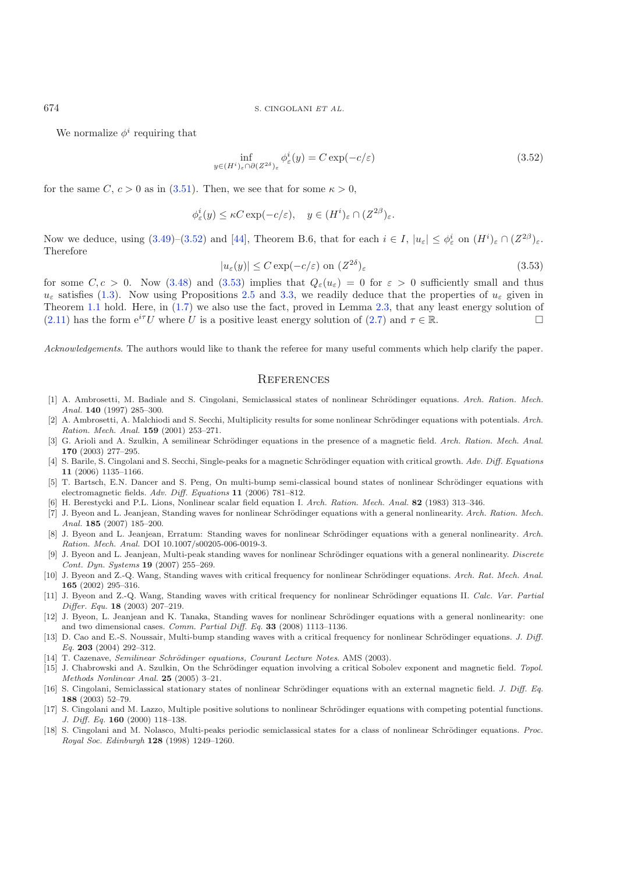We normalize  $\phi^i$  requiring that

<span id="page-21-18"></span>
$$
\inf_{y \in (H^i)_{\varepsilon} \cap \partial (Z^{2\delta})_{\varepsilon}} \phi_{\varepsilon}^i(y) = C \exp(-c/\varepsilon)
$$
\n(3.52)

for the same C,  $c > 0$  as in [\(3.51\)](#page-20-4). Then, we see that for some  $\kappa > 0$ ,

$$
\phi_{\varepsilon}^i(y) \leq \kappa C \exp(-c/\varepsilon), \quad y \in (H^i)_{\varepsilon} \cap (Z^{2\beta})_{\varepsilon}.
$$

Now we deduce, using  $(3.49)$ – $(3.52)$  and [\[44\]](#page-22-24), Theorem B.6, that for each  $i \in I$ ,  $|u_{\varepsilon}| \leq \phi_{\varepsilon}^{i}$  on  $(H^{i})_{\varepsilon} \cap (Z^{2\beta})_{\varepsilon}$ . Therefore

$$
|u_{\varepsilon}(y)| \le C \exp(-c/\varepsilon) \text{ on } (Z^{2\delta})_{\varepsilon}
$$
\n(3.53)

for some  $C, c > 0$ . Now [\(3.48\)](#page-20-2) and [\(3.53\)](#page-21-18) implies that  $Q_{\varepsilon}(u_{\varepsilon}) = 0$  for  $\varepsilon > 0$  sufficiently small and thus  $u_{\varepsilon}$  satisfies [\(1.3\)](#page-1-0). Now using Propositions [2.5](#page-7-3) and [3.3,](#page-3-0) we readily deduce that the properties of  $u_{\varepsilon}$  given in Theorem [1.1](#page-2-0) hold. Here, in [\(1.7\)](#page-2-2) we also use the fact, proved in Lemma [2.3,](#page-3-0) that any least energy solution of [\(2.11\)](#page-6-1) has the form  $e^{i\tau}U$  where U is a positive least energy solution of [\(2.7\)](#page-6-0) and  $\tau \in \mathbb{R}$ .

*Acknowledgements*. The authors would like to thank the referee for many useful comments which help clarify the paper.

#### **REFERENCES**

- <span id="page-21-0"></span>[1] A. Ambrosetti, M. Badiale and S. Cingolani, Semiclassical states of nonlinear Schrödinger equations. Arch. Ration. Mech. Anal. **140** (1997) 285–300.
- <span id="page-21-1"></span>[2] A. Ambrosetti, A. Malchiodi and S. Secchi, Multiplicity results for some nonlinear Schrödinger equations with potentials. Arch. Ration. Mech. Anal. **159** (2001) 253–271.
- <span id="page-21-9"></span>[3] G. Arioli and A. Szulkin, A semilinear Schrödinger equations in the presence of a magnetic field. Arch. Ration. Mech. Anal. **170** (2003) 277–295.
- <span id="page-21-10"></span>[4] S. Barile, S. Cingolani and S. Secchi, Single-peaks for a magnetic Schrödinger equation with critical growth. Adv. Diff. Equations **11** (2006) 1135–1166.
- <span id="page-21-12"></span>[5] T. Bartsch, E.N. Dancer and S. Peng, On multi-bump semi-classical bound states of nonlinear Schrödinger equations with electromagnetic fields. Adv. Diff. Equations **11** (2006) 781–812.
- <span id="page-21-14"></span>[6] H. Berestycki and P.L. Lions, Nonlinear scalar field equation I. Arch. Ration. Mech. Anal. **82** (1983) 313–346.
- <span id="page-21-2"></span>[7] J. Byeon and L. Jeanjean, Standing waves for nonlinear Schrödinger equations with a general nonlinearity. Arch. Ration. Mech. Anal. **185** (2007) 185–200.
- <span id="page-21-16"></span>[8] J. Byeon and L. Jeanjean, Erratum: Standing waves for nonlinear Schrödinger equations with a general nonlinearity. Arch. Ration. Mech. Anal. DOI 10.1007/s00205-006-0019-3.
- <span id="page-21-3"></span>[9] J. Byeon and L. Jeanjean, Multi-peak standing waves for nonlinear Schrödinger equations with a general nonlinearity. Discrete Cont. Dyn. Systems **19** (2007) 255–269.
- [10] J. Byeon and Z.-Q. Wang, Standing waves with critical frequency for nonlinear Schrödinger equations. Arch. Rat. Mech. Anal. **165** (2002) 295–316.
- <span id="page-21-4"></span>[11] J. Byeon and Z.-Q. Wang, Standing waves with critical frequency for nonlinear Schrödinger equations II. Calc. Var. Partial Differ. Equ. **18** (2003) 207–219.
- <span id="page-21-13"></span>[12] J. Byeon, L. Jeanjean and K. Tanaka, Standing waves for nonlinear Schrödinger equations with a general nonlinearity: one and two dimensional cases. Comm. Partial Diff. Eq. **33** (2008) 1113–1136.
- <span id="page-21-5"></span>[13] D. Cao and E.-S. Noussair, Multi-bump standing waves with a critical frequency for nonlinear Schrödinger equations. J. Diff. Eq. **203** (2004) 292–312.
- [14] T. Cazenave, Semilinear Schrödinger equations, Courant Lecture Notes. AMS (2003).
- <span id="page-21-15"></span><span id="page-21-11"></span>[15] J. Chabrowski and A. Szulkin, On the Schrödinger equation involving a critical Sobolev exponent and magnetic field. Topol. Methods Nonlinear Anal. **25** (2005) 3–21.
- <span id="page-21-8"></span>[16] S. Cingolani, Semiclassical stationary states of nonlinear Schrödinger equations with an external magnetic field. J. Diff. Eq. **188** (2003) 52–79.
- <span id="page-21-6"></span>[17] S. Cingolani and M. Lazzo, Multiple positive solutions to nonlinear Schrödinger equations with competing potential functions. J. Diff. Eq. **160** (2000) 118–138.
- <span id="page-21-7"></span>[18] S. Cingolani and M. Nolasco, Multi-peaks periodic semiclassical states for a class of nonlinear Schrödinger equations. Proc. Royal Soc. Edinburgh **128** (1998) 1249–1260.

<span id="page-21-17"></span>